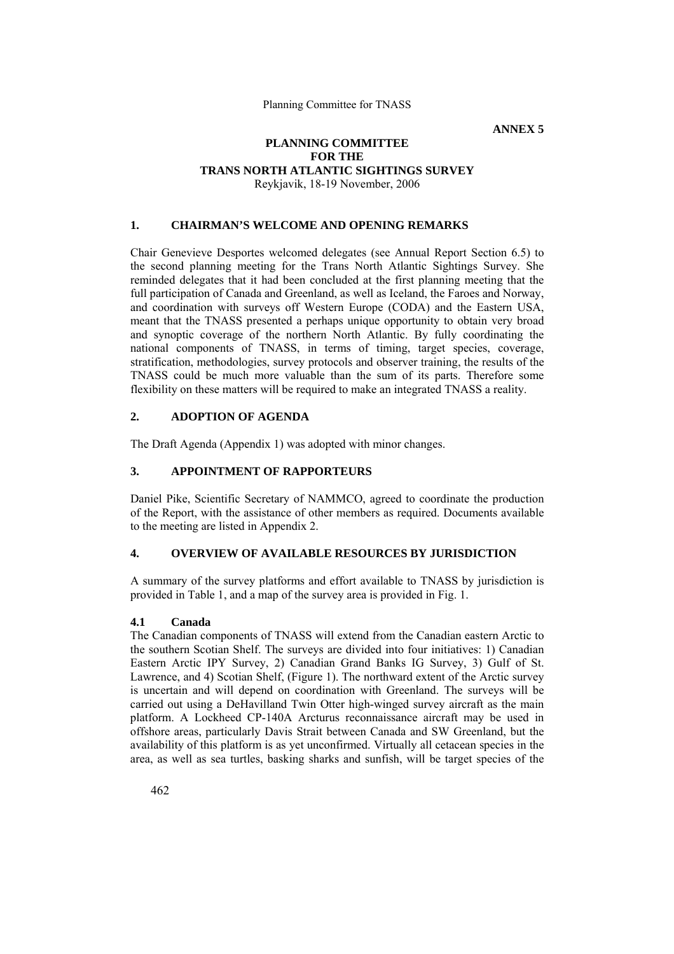**ANNEX 5** 

#### **PLANNING COMMITTEE FOR THE TRANS NORTH ATLANTIC SIGHTINGS SURVEY**  Reykjavik, 18-19 November, 2006

#### **1. CHAIRMAN'S WELCOME AND OPENING REMARKS**

Chair Genevieve Desportes welcomed delegates (see Annual Report Section 6.5) to the second planning meeting for the Trans North Atlantic Sightings Survey. She reminded delegates that it had been concluded at the first planning meeting that the full participation of Canada and Greenland, as well as Iceland, the Faroes and Norway, and coordination with surveys off Western Europe (CODA) and the Eastern USA, meant that the TNASS presented a perhaps unique opportunity to obtain very broad and synoptic coverage of the northern North Atlantic. By fully coordinating the national components of TNASS, in terms of timing, target species, coverage, stratification, methodologies, survey protocols and observer training, the results of the TNASS could be much more valuable than the sum of its parts. Therefore some flexibility on these matters will be required to make an integrated TNASS a reality.

# **2. ADOPTION OF AGENDA**

The Draft Agenda (Appendix 1) was adopted with minor changes.

# **3. APPOINTMENT OF RAPPORTEURS**

Daniel Pike, Scientific Secretary of NAMMCO, agreed to coordinate the production of the Report, with the assistance of other members as required. Documents available to the meeting are listed in Appendix 2.

# **4. OVERVIEW OF AVAILABLE RESOURCES BY JURISDICTION**

A summary of the survey platforms and effort available to TNASS by jurisdiction is provided in Table 1, and a map of the survey area is provided in Fig. 1.

## **4.1 Canada**

The Canadian components of TNASS will extend from the Canadian eastern Arctic to the southern Scotian Shelf. The surveys are divided into four initiatives: 1) Canadian Eastern Arctic IPY Survey, 2) Canadian Grand Banks IG Survey, 3) Gulf of St. Lawrence, and 4) Scotian Shelf, (Figure 1). The northward extent of the Arctic survey is uncertain and will depend on coordination with Greenland. The surveys will be carried out using a DeHavilland Twin Otter high-winged survey aircraft as the main platform. A Lockheed CP-140A Arcturus reconnaissance aircraft may be used in offshore areas, particularly Davis Strait between Canada and SW Greenland, but the availability of this platform is as yet unconfirmed. Virtually all cetacean species in the area, as well as sea turtles, basking sharks and sunfish, will be target species of the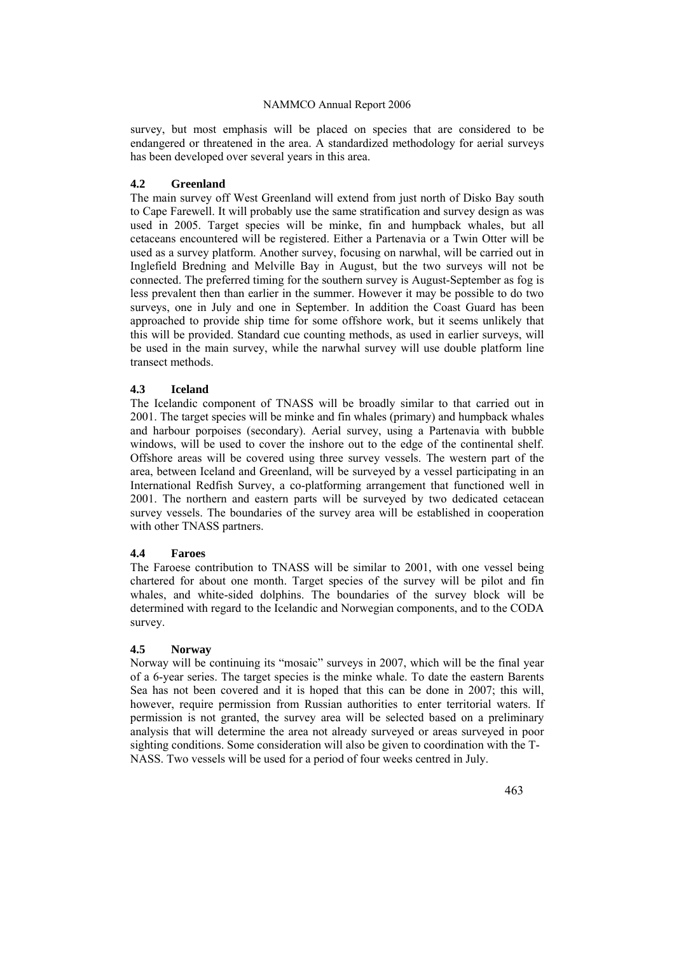survey, but most emphasis will be placed on species that are considered to be endangered or threatened in the area. A standardized methodology for aerial surveys has been developed over several years in this area.

#### **4.2 Greenland**

The main survey off West Greenland will extend from just north of Disko Bay south to Cape Farewell. It will probably use the same stratification and survey design as was used in 2005. Target species will be minke, fin and humpback whales, but all cetaceans encountered will be registered. Either a Partenavia or a Twin Otter will be used as a survey platform. Another survey, focusing on narwhal, will be carried out in Inglefield Bredning and Melville Bay in August, but the two surveys will not be connected. The preferred timing for the southern survey is August-September as fog is less prevalent then than earlier in the summer. However it may be possible to do two surveys, one in July and one in September. In addition the Coast Guard has been approached to provide ship time for some offshore work, but it seems unlikely that this will be provided. Standard cue counting methods, as used in earlier surveys, will be used in the main survey, while the narwhal survey will use double platform line transect methods.

#### **4.3 Iceland**

The Icelandic component of TNASS will be broadly similar to that carried out in 2001. The target species will be minke and fin whales (primary) and humpback whales and harbour porpoises (secondary). Aerial survey, using a Partenavia with bubble windows, will be used to cover the inshore out to the edge of the continental shelf. Offshore areas will be covered using three survey vessels. The western part of the area, between Iceland and Greenland, will be surveyed by a vessel participating in an International Redfish Survey, a co-platforming arrangement that functioned well in 2001. The northern and eastern parts will be surveyed by two dedicated cetacean survey vessels. The boundaries of the survey area will be established in cooperation with other TNASS partners.

#### **4.4 Faroes**

The Faroese contribution to TNASS will be similar to 2001, with one vessel being chartered for about one month. Target species of the survey will be pilot and fin whales, and white-sided dolphins. The boundaries of the survey block will be determined with regard to the Icelandic and Norwegian components, and to the CODA survey.

#### **4.5 Norway**

Norway will be continuing its "mosaic" surveys in 2007, which will be the final year of a 6-year series. The target species is the minke whale. To date the eastern Barents Sea has not been covered and it is hoped that this can be done in 2007; this will, however, require permission from Russian authorities to enter territorial waters. If permission is not granted, the survey area will be selected based on a preliminary analysis that will determine the area not already surveyed or areas surveyed in poor sighting conditions. Some consideration will also be given to coordination with the T-NASS. Two vessels will be used for a period of four weeks centred in July.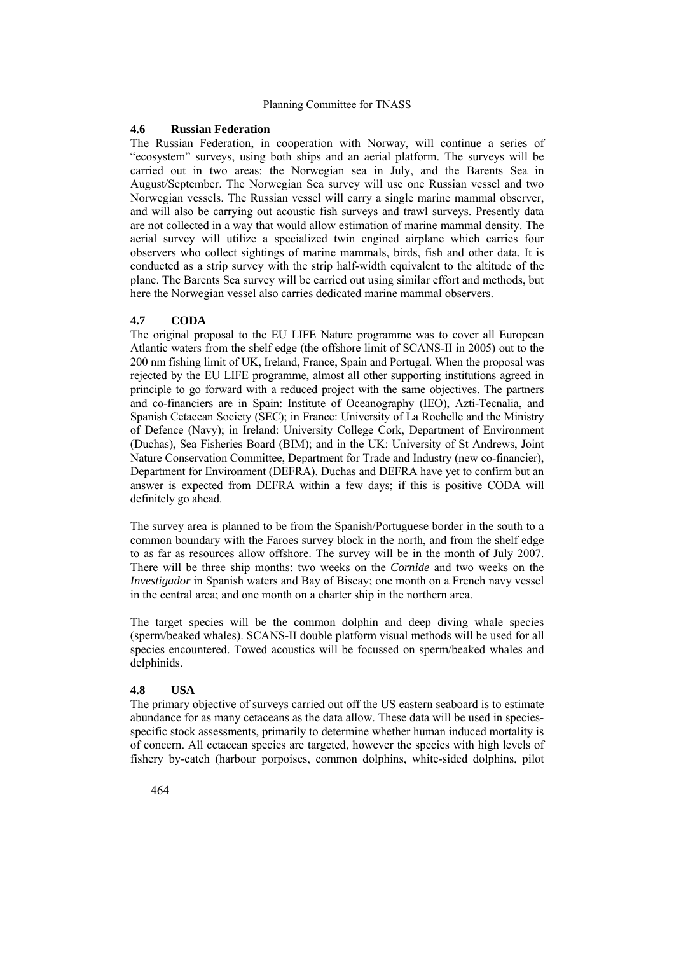#### **4.6 Russian Federation**

The Russian Federation, in cooperation with Norway, will continue a series of "ecosystem" surveys, using both ships and an aerial platform. The surveys will be carried out in two areas: the Norwegian sea in July, and the Barents Sea in August/September. The Norwegian Sea survey will use one Russian vessel and two Norwegian vessels. The Russian vessel will carry a single marine mammal observer, and will also be carrying out acoustic fish surveys and trawl surveys. Presently data are not collected in a way that would allow estimation of marine mammal density. The aerial survey will utilize a specialized twin engined airplane which carries four observers who collect sightings of marine mammals, birds, fish and other data. It is conducted as a strip survey with the strip half-width equivalent to the altitude of the plane. The Barents Sea survey will be carried out using similar effort and methods, but here the Norwegian vessel also carries dedicated marine mammal observers.

#### **4.7 CODA**

The original proposal to the EU LIFE Nature programme was to cover all European Atlantic waters from the shelf edge (the offshore limit of SCANS-II in 2005) out to the 200 nm fishing limit of UK, Ireland, France, Spain and Portugal. When the proposal was rejected by the EU LIFE programme, almost all other supporting institutions agreed in principle to go forward with a reduced project with the same objectives. The partners and co-financiers are in Spain: Institute of Oceanography (IEO), Azti-Tecnalia, and Spanish Cetacean Society (SEC); in France: University of La Rochelle and the Ministry of Defence (Navy); in Ireland: University College Cork, Department of Environment (Duchas), Sea Fisheries Board (BIM); and in the UK: University of St Andrews, Joint Nature Conservation Committee, Department for Trade and Industry (new co-financier), Department for Environment (DEFRA). Duchas and DEFRA have yet to confirm but an answer is expected from DEFRA within a few days; if this is positive CODA will definitely go ahead.

The survey area is planned to be from the Spanish/Portuguese border in the south to a common boundary with the Faroes survey block in the north, and from the shelf edge to as far as resources allow offshore. The survey will be in the month of July 2007. There will be three ship months: two weeks on the *Cornide* and two weeks on the *Investigador* in Spanish waters and Bay of Biscay; one month on a French navy vessel in the central area; and one month on a charter ship in the northern area.

The target species will be the common dolphin and deep diving whale species (sperm/beaked whales). SCANS-II double platform visual methods will be used for all species encountered. Towed acoustics will be focussed on sperm/beaked whales and delphinids.

#### **4.8 USA**

The primary objective of surveys carried out off the US eastern seaboard is to estimate abundance for as many cetaceans as the data allow. These data will be used in speciesspecific stock assessments, primarily to determine whether human induced mortality is of concern. All cetacean species are targeted, however the species with high levels of fishery by-catch (harbour porpoises, common dolphins, white-sided dolphins, pilot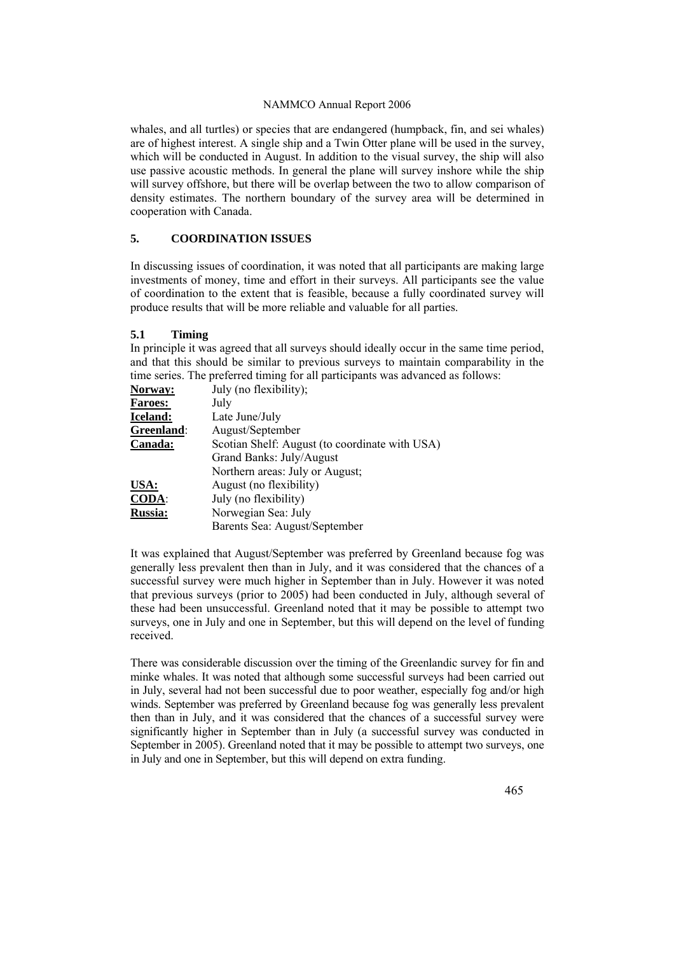whales, and all turtles) or species that are endangered (humpback, fin, and sei whales) are of highest interest. A single ship and a Twin Otter plane will be used in the survey, which will be conducted in August. In addition to the visual survey, the ship will also use passive acoustic methods. In general the plane will survey inshore while the ship will survey offshore, but there will be overlap between the two to allow comparison of density estimates. The northern boundary of the survey area will be determined in cooperation with Canada.

#### **5. COORDINATION ISSUES**

In discussing issues of coordination, it was noted that all participants are making large investments of money, time and effort in their surveys. All participants see the value of coordination to the extent that is feasible, because a fully coordinated survey will produce results that will be more reliable and valuable for all parties.

#### **5.1 Timing**

In principle it was agreed that all surveys should ideally occur in the same time period, and that this should be similar to previous surveys to maintain comparability in the time series. The preferred timing for all participants was advanced as follows:

| Norway:        | July (no flexibility);                         |
|----------------|------------------------------------------------|
| <b>Faroes:</b> | July                                           |
| Iceland:       | Late June/July                                 |
| Greenland:     | August/September                               |
| Canada:        | Scotian Shelf: August (to coordinate with USA) |
|                | Grand Banks: July/August                       |
|                | Northern areas: July or August;                |
| USA:           | August (no flexibility)                        |
| CODA:          | July (no flexibility)                          |
| <b>Russia:</b> | Norwegian Sea: July                            |
|                | Barents Sea: August/September                  |

It was explained that August/September was preferred by Greenland because fog was generally less prevalent then than in July, and it was considered that the chances of a successful survey were much higher in September than in July. However it was noted that previous surveys (prior to 2005) had been conducted in July, although several of these had been unsuccessful. Greenland noted that it may be possible to attempt two surveys, one in July and one in September, but this will depend on the level of funding received.

There was considerable discussion over the timing of the Greenlandic survey for fin and minke whales. It was noted that although some successful surveys had been carried out in July, several had not been successful due to poor weather, especially fog and/or high winds. September was preferred by Greenland because fog was generally less prevalent then than in July, and it was considered that the chances of a successful survey were significantly higher in September than in July (a successful survey was conducted in September in 2005). Greenland noted that it may be possible to attempt two surveys, one in July and one in September, but this will depend on extra funding.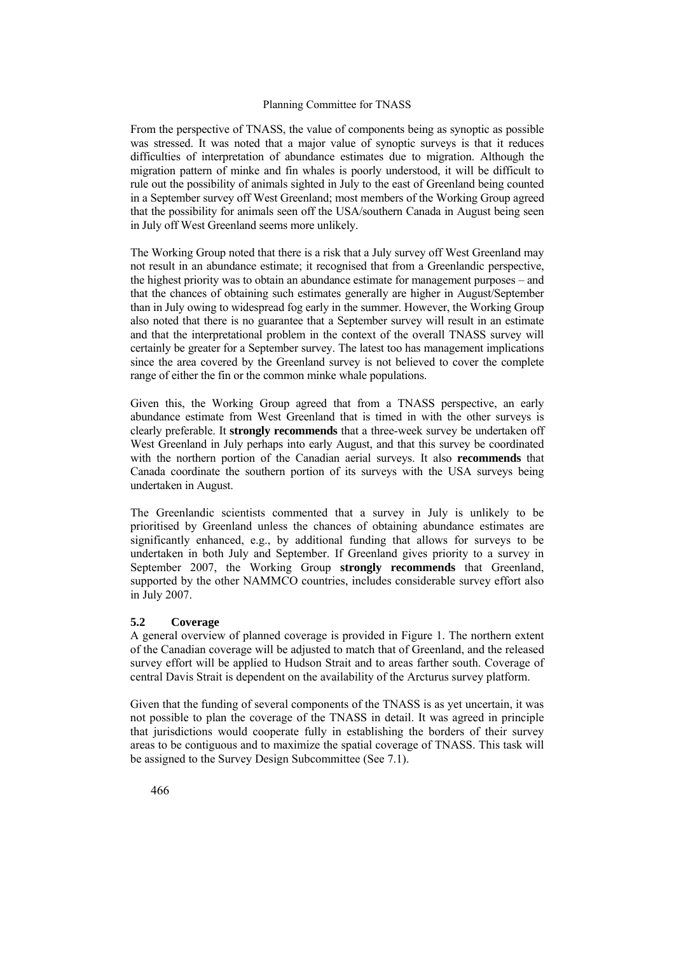From the perspective of TNASS, the value of components being as synoptic as possible was stressed. It was noted that a major value of synoptic surveys is that it reduces difficulties of interpretation of abundance estimates due to migration. Although the migration pattern of minke and fin whales is poorly understood, it will be difficult to rule out the possibility of animals sighted in July to the east of Greenland being counted in a September survey off West Greenland; most members of the Working Group agreed that the possibility for animals seen off the USA/southern Canada in August being seen in July off West Greenland seems more unlikely.

The Working Group noted that there is a risk that a July survey off West Greenland may not result in an abundance estimate; it recognised that from a Greenlandic perspective, the highest priority was to obtain an abundance estimate for management purposes – and that the chances of obtaining such estimates generally are higher in August/September than in July owing to widespread fog early in the summer. However, the Working Group also noted that there is no guarantee that a September survey will result in an estimate and that the interpretational problem in the context of the overall TNASS survey will certainly be greater for a September survey. The latest too has management implications since the area covered by the Greenland survey is not believed to cover the complete range of either the fin or the common minke whale populations.

Given this, the Working Group agreed that from a TNASS perspective, an early abundance estimate from West Greenland that is timed in with the other surveys is clearly preferable. It **strongly recommends** that a three-week survey be undertaken off West Greenland in July perhaps into early August, and that this survey be coordinated with the northern portion of the Canadian aerial surveys. It also **recommends** that Canada coordinate the southern portion of its surveys with the USA surveys being undertaken in August.

The Greenlandic scientists commented that a survey in July is unlikely to be prioritised by Greenland unless the chances of obtaining abundance estimates are significantly enhanced, e.g., by additional funding that allows for surveys to be undertaken in both July and September. If Greenland gives priority to a survey in September 2007, the Working Group **strongly recommends** that Greenland, supported by the other NAMMCO countries, includes considerable survey effort also in July 2007.

#### **5.2 Coverage**

A general overview of planned coverage is provided in Figure 1. The northern extent of the Canadian coverage will be adjusted to match that of Greenland, and the released survey effort will be applied to Hudson Strait and to areas farther south. Coverage of central Davis Strait is dependent on the availability of the Arcturus survey platform.

Given that the funding of several components of the TNASS is as yet uncertain, it was not possible to plan the coverage of the TNASS in detail. It was agreed in principle that jurisdictions would cooperate fully in establishing the borders of their survey areas to be contiguous and to maximize the spatial coverage of TNASS. This task will be assigned to the Survey Design Subcommittee (See 7.1).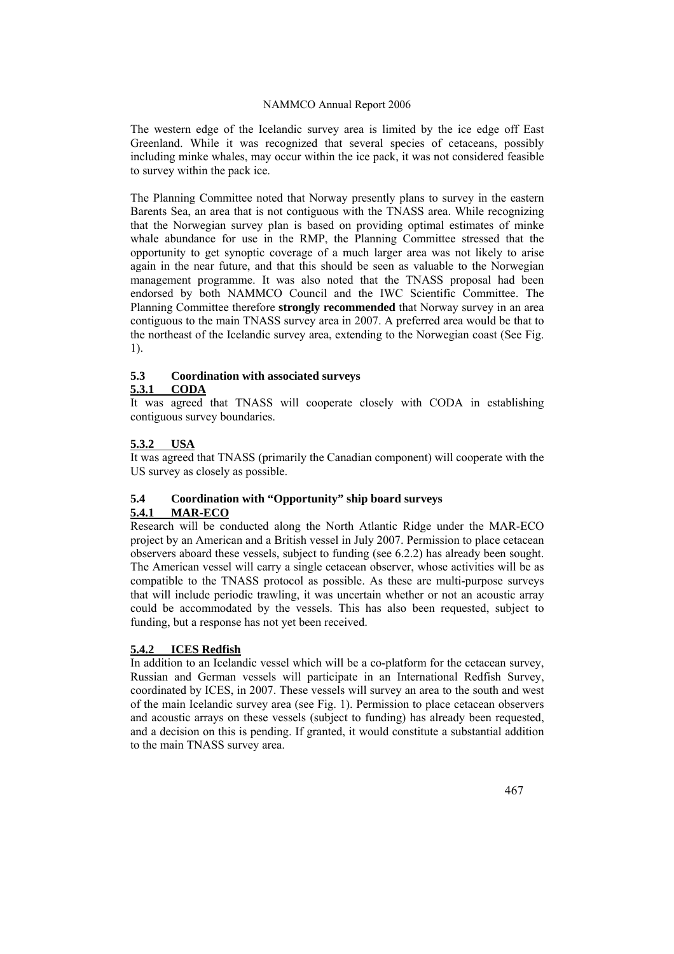The western edge of the Icelandic survey area is limited by the ice edge off East Greenland. While it was recognized that several species of cetaceans, possibly including minke whales, may occur within the ice pack, it was not considered feasible to survey within the pack ice.

The Planning Committee noted that Norway presently plans to survey in the eastern Barents Sea, an area that is not contiguous with the TNASS area. While recognizing that the Norwegian survey plan is based on providing optimal estimates of minke whale abundance for use in the RMP, the Planning Committee stressed that the opportunity to get synoptic coverage of a much larger area was not likely to arise again in the near future, and that this should be seen as valuable to the Norwegian management programme. It was also noted that the TNASS proposal had been endorsed by both NAMMCO Council and the IWC Scientific Committee. The Planning Committee therefore **strongly recommended** that Norway survey in an area contiguous to the main TNASS survey area in 2007. A preferred area would be that to the northeast of the Icelandic survey area, extending to the Norwegian coast (See Fig. 1).

# **5.3 Coordination with associated surveys**

# **5.3.1 CODA**

It was agreed that TNASS will cooperate closely with CODA in establishing contiguous survey boundaries.

# **5.3.2 USA**

It was agreed that TNASS (primarily the Canadian component) will cooperate with the US survey as closely as possible.

# **5.4 Coordination with "Opportunity" ship board surveys 5.4.1 MAR-ECO**

Research will be conducted along the North Atlantic Ridge under the MAR-ECO project by an American and a British vessel in July 2007. Permission to place cetacean observers aboard these vessels, subject to funding (see 6.2.2) has already been sought. The American vessel will carry a single cetacean observer, whose activities will be as compatible to the TNASS protocol as possible. As these are multi-purpose surveys that will include periodic trawling, it was uncertain whether or not an acoustic array could be accommodated by the vessels. This has also been requested, subject to funding, but a response has not yet been received.

# **5.4.2 ICES Redfish**

In addition to an Icelandic vessel which will be a co-platform for the cetacean survey, Russian and German vessels will participate in an International Redfish Survey, coordinated by ICES, in 2007. These vessels will survey an area to the south and west of the main Icelandic survey area (see Fig. 1). Permission to place cetacean observers and acoustic arrays on these vessels (subject to funding) has already been requested, and a decision on this is pending. If granted, it would constitute a substantial addition to the main TNASS survey area.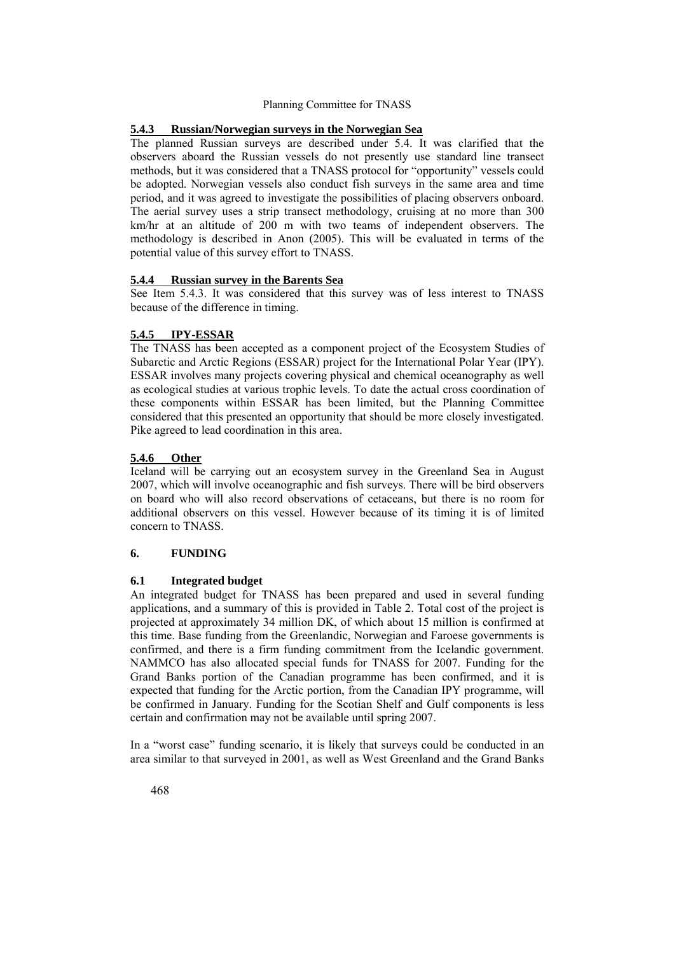#### **5.4.3 Russian/Norwegian surveys in the Norwegian Sea**

The planned Russian surveys are described under 5.4. It was clarified that the observers aboard the Russian vessels do not presently use standard line transect methods, but it was considered that a TNASS protocol for "opportunity" vessels could be adopted. Norwegian vessels also conduct fish surveys in the same area and time period, and it was agreed to investigate the possibilities of placing observers onboard. The aerial survey uses a strip transect methodology, cruising at no more than 300 km/hr at an altitude of 200 m with two teams of independent observers. The methodology is described in Anon (2005). This will be evaluated in terms of the potential value of this survey effort to TNASS.

#### **5.4.4 Russian survey in the Barents Sea**

See Item 5.4.3. It was considered that this survey was of less interest to TNASS because of the difference in timing.

#### **5.4.5 IPY-ESSAR**

The TNASS has been accepted as a component project of the Ecosystem Studies of Subarctic and Arctic Regions (ESSAR) project for the International Polar Year (IPY). ESSAR involves many projects covering physical and chemical oceanography as well as ecological studies at various trophic levels. To date the actual cross coordination of these components within ESSAR has been limited, but the Planning Committee considered that this presented an opportunity that should be more closely investigated. Pike agreed to lead coordination in this area.

#### **5.4.6 Other**

Iceland will be carrying out an ecosystem survey in the Greenland Sea in August 2007, which will involve oceanographic and fish surveys. There will be bird observers on board who will also record observations of cetaceans, but there is no room for additional observers on this vessel. However because of its timing it is of limited concern to TNASS.

#### **6. FUNDING**

#### **6.1 Integrated budget**

An integrated budget for TNASS has been prepared and used in several funding applications, and a summary of this is provided in Table 2. Total cost of the project is projected at approximately 34 million DK, of which about 15 million is confirmed at this time. Base funding from the Greenlandic, Norwegian and Faroese governments is confirmed, and there is a firm funding commitment from the Icelandic government. NAMMCO has also allocated special funds for TNASS for 2007. Funding for the Grand Banks portion of the Canadian programme has been confirmed, and it is expected that funding for the Arctic portion, from the Canadian IPY programme, will be confirmed in January. Funding for the Scotian Shelf and Gulf components is less certain and confirmation may not be available until spring 2007.

In a "worst case" funding scenario, it is likely that surveys could be conducted in an area similar to that surveyed in 2001, as well as West Greenland and the Grand Banks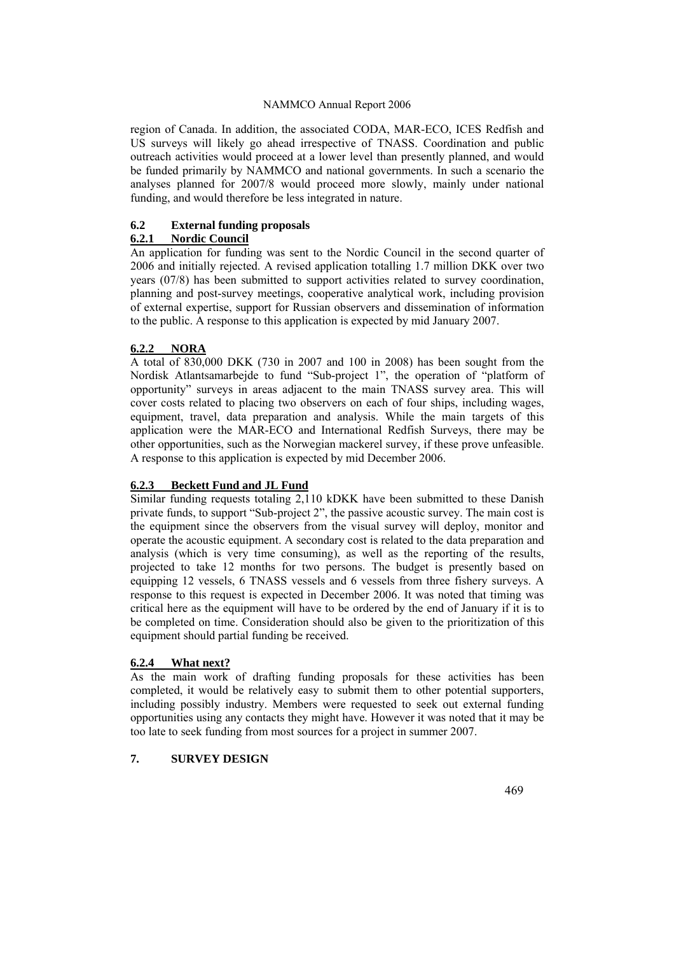region of Canada. In addition, the associated CODA, MAR-ECO, ICES Redfish and US surveys will likely go ahead irrespective of TNASS. Coordination and public outreach activities would proceed at a lower level than presently planned, and would be funded primarily by NAMMCO and national governments. In such a scenario the analyses planned for 2007/8 would proceed more slowly, mainly under national funding, and would therefore be less integrated in nature.

# **6.2 External funding proposals**

# **6.2.1 Nordic Council**

An application for funding was sent to the Nordic Council in the second quarter of 2006 and initially rejected. A revised application totalling 1.7 million DKK over two years (07/8) has been submitted to support activities related to survey coordination, planning and post-survey meetings, cooperative analytical work, including provision of external expertise, support for Russian observers and dissemination of information to the public. A response to this application is expected by mid January 2007.

# **6.2.2 NORA**

A total of 830,000 DKK (730 in 2007 and 100 in 2008) has been sought from the Nordisk Atlantsamarbejde to fund "Sub-project 1", the operation of "platform of opportunity" surveys in areas adjacent to the main TNASS survey area. This will cover costs related to placing two observers on each of four ships, including wages, equipment, travel, data preparation and analysis. While the main targets of this application were the MAR-ECO and International Redfish Surveys, there may be other opportunities, such as the Norwegian mackerel survey, if these prove unfeasible. A response to this application is expected by mid December 2006.

#### **6.2.3 Beckett Fund and JL Fund**

Similar funding requests totaling 2,110 kDKK have been submitted to these Danish private funds, to support "Sub-project 2", the passive acoustic survey. The main cost is the equipment since the observers from the visual survey will deploy, monitor and operate the acoustic equipment. A secondary cost is related to the data preparation and analysis (which is very time consuming), as well as the reporting of the results, projected to take 12 months for two persons. The budget is presently based on equipping 12 vessels, 6 TNASS vessels and 6 vessels from three fishery surveys. A response to this request is expected in December 2006. It was noted that timing was critical here as the equipment will have to be ordered by the end of January if it is to be completed on time. Consideration should also be given to the prioritization of this equipment should partial funding be received.

# **6.2.4 What next?**

As the main work of drafting funding proposals for these activities has been completed, it would be relatively easy to submit them to other potential supporters, including possibly industry. Members were requested to seek out external funding opportunities using any contacts they might have. However it was noted that it may be too late to seek funding from most sources for a project in summer 2007.

#### **7. SURVEY DESIGN**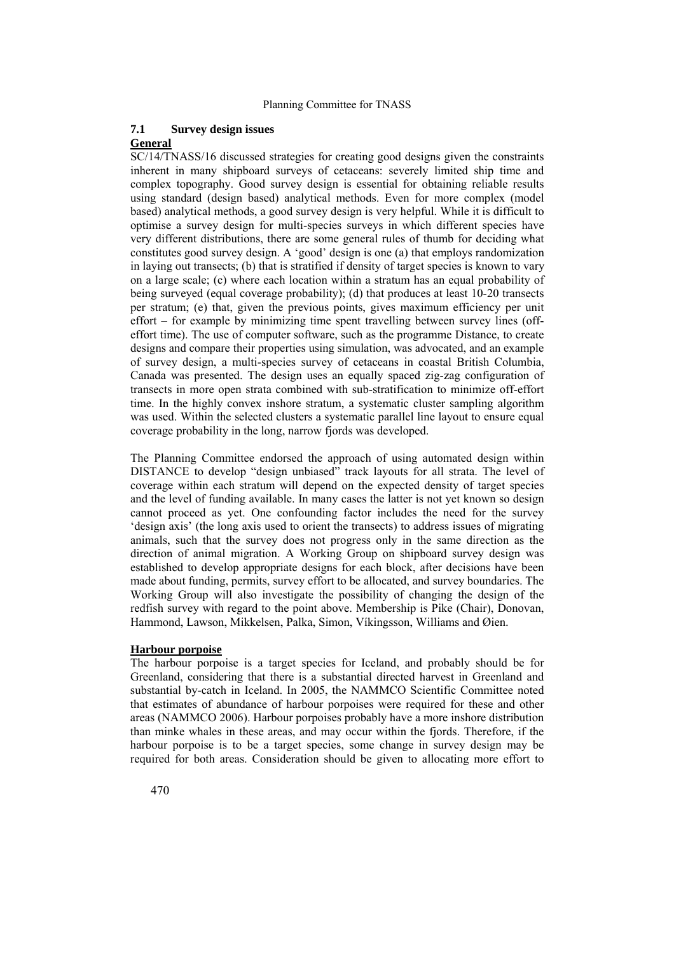#### **7.1 Survey design issues**

#### **General**

SC/14/TNASS/16 discussed strategies for creating good designs given the constraints inherent in many shipboard surveys of cetaceans: severely limited ship time and complex topography. Good survey design is essential for obtaining reliable results using standard (design based) analytical methods. Even for more complex (model based) analytical methods, a good survey design is very helpful. While it is difficult to optimise a survey design for multi-species surveys in which different species have very different distributions, there are some general rules of thumb for deciding what constitutes good survey design. A 'good' design is one (a) that employs randomization in laying out transects; (b) that is stratified if density of target species is known to vary on a large scale; (c) where each location within a stratum has an equal probability of being surveyed (equal coverage probability); (d) that produces at least 10-20 transects per stratum; (e) that, given the previous points, gives maximum efficiency per unit effort – for example by minimizing time spent travelling between survey lines (offeffort time). The use of computer software, such as the programme Distance, to create designs and compare their properties using simulation, was advocated, and an example of survey design, a multi-species survey of cetaceans in coastal British Columbia, Canada was presented. The design uses an equally spaced zig-zag configuration of transects in more open strata combined with sub-stratification to minimize off-effort time. In the highly convex inshore stratum, a systematic cluster sampling algorithm was used. Within the selected clusters a systematic parallel line layout to ensure equal coverage probability in the long, narrow fjords was developed.

The Planning Committee endorsed the approach of using automated design within DISTANCE to develop "design unbiased" track layouts for all strata. The level of coverage within each stratum will depend on the expected density of target species and the level of funding available. In many cases the latter is not yet known so design cannot proceed as yet. One confounding factor includes the need for the survey 'design axis' (the long axis used to orient the transects) to address issues of migrating animals, such that the survey does not progress only in the same direction as the direction of animal migration. A Working Group on shipboard survey design was established to develop appropriate designs for each block, after decisions have been made about funding, permits, survey effort to be allocated, and survey boundaries. The Working Group will also investigate the possibility of changing the design of the redfish survey with regard to the point above. Membership is Pike (Chair), Donovan, Hammond, Lawson, Mikkelsen, Palka, Simon, Víkingsson, Williams and Øien.

## **Harbour porpoise**

The harbour porpoise is a target species for Iceland, and probably should be for Greenland, considering that there is a substantial directed harvest in Greenland and substantial by-catch in Iceland. In 2005, the NAMMCO Scientific Committee noted that estimates of abundance of harbour porpoises were required for these and other areas (NAMMCO 2006). Harbour porpoises probably have a more inshore distribution than minke whales in these areas, and may occur within the fjords. Therefore, if the harbour porpoise is to be a target species, some change in survey design may be required for both areas. Consideration should be given to allocating more effort to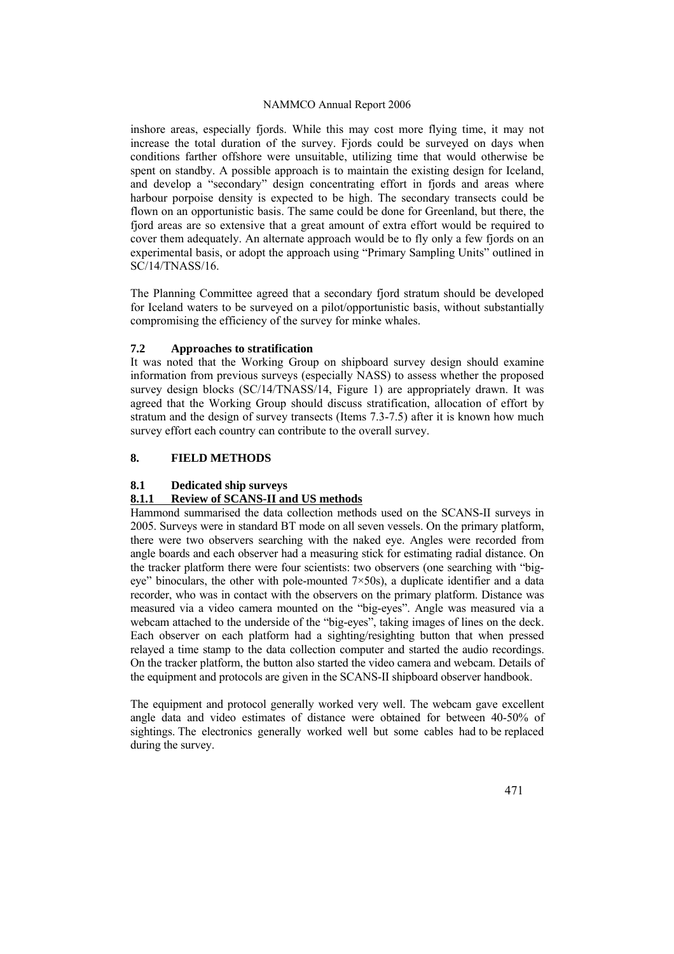inshore areas, especially fjords. While this may cost more flying time, it may not increase the total duration of the survey. Fjords could be surveyed on days when conditions farther offshore were unsuitable, utilizing time that would otherwise be spent on standby. A possible approach is to maintain the existing design for Iceland, and develop a "secondary" design concentrating effort in fjords and areas where harbour porpoise density is expected to be high. The secondary transects could be flown on an opportunistic basis. The same could be done for Greenland, but there, the fjord areas are so extensive that a great amount of extra effort would be required to cover them adequately. An alternate approach would be to fly only a few fjords on an experimental basis, or adopt the approach using "Primary Sampling Units" outlined in SC/14/TNASS/16.

The Planning Committee agreed that a secondary fjord stratum should be developed for Iceland waters to be surveyed on a pilot/opportunistic basis, without substantially compromising the efficiency of the survey for minke whales.

#### **7.2 Approaches to stratification**

It was noted that the Working Group on shipboard survey design should examine information from previous surveys (especially NASS) to assess whether the proposed survey design blocks (SC/14/TNASS/14, Figure 1) are appropriately drawn. It was agreed that the Working Group should discuss stratification, allocation of effort by stratum and the design of survey transects (Items 7.3-7.5) after it is known how much survey effort each country can contribute to the overall survey.

# **8. FIELD METHODS**

# **8.1 Dedicated ship surveys**

# **8.1.1 Review of SCANS-II and US methods**

Hammond summarised the data collection methods used on the SCANS-II surveys in 2005. Surveys were in standard BT mode on all seven vessels. On the primary platform, there were two observers searching with the naked eye. Angles were recorded from angle boards and each observer had a measuring stick for estimating radial distance. On the tracker platform there were four scientists: two observers (one searching with "bigeve" binoculars, the other with pole-mounted  $7\times50$ s), a duplicate identifier and a data recorder, who was in contact with the observers on the primary platform. Distance was measured via a video camera mounted on the "big-eyes". Angle was measured via a webcam attached to the underside of the "big-eyes", taking images of lines on the deck. Each observer on each platform had a sighting/resighting button that when pressed relayed a time stamp to the data collection computer and started the audio recordings. On the tracker platform, the button also started the video camera and webcam. Details of the equipment and protocols are given in the SCANS-II shipboard observer handbook.

The equipment and protocol generally worked very well. The webcam gave excellent angle data and video estimates of distance were obtained for between 40-50% of sightings. The electronics generally worked well but some cables had to be replaced during the survey.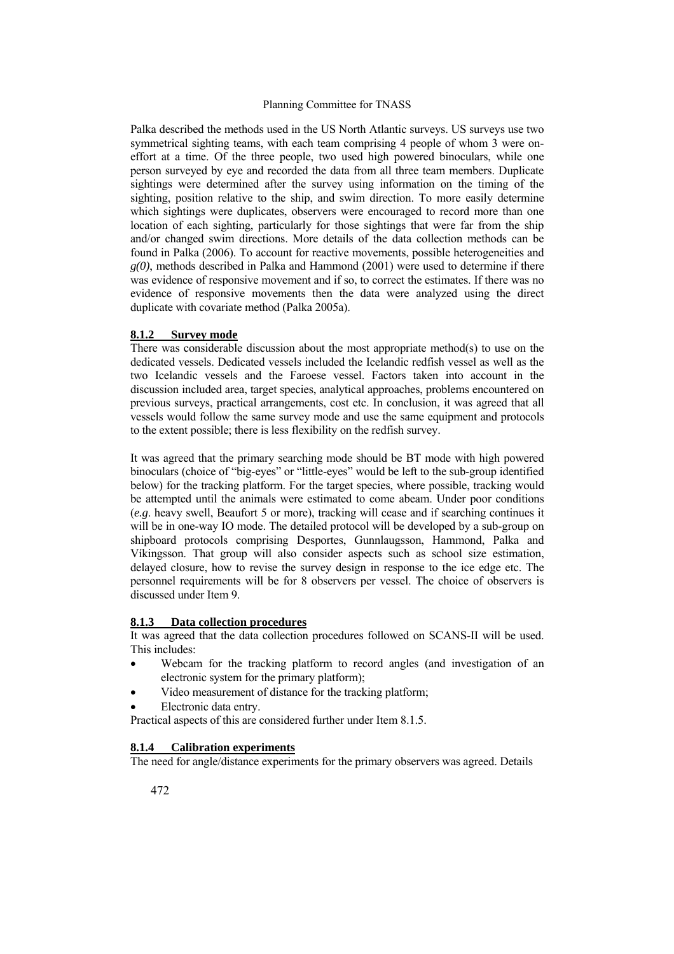Palka described the methods used in the US North Atlantic surveys. US surveys use two symmetrical sighting teams, with each team comprising 4 people of whom 3 were oneffort at a time. Of the three people, two used high powered binoculars, while one person surveyed by eye and recorded the data from all three team members. Duplicate sightings were determined after the survey using information on the timing of the sighting, position relative to the ship, and swim direction. To more easily determine which sightings were duplicates, observers were encouraged to record more than one location of each sighting, particularly for those sightings that were far from the ship and/or changed swim directions. More details of the data collection methods can be found in Palka (2006). To account for reactive movements, possible heterogeneities and *g(0)*, methods described in Palka and Hammond (2001) were used to determine if there was evidence of responsive movement and if so, to correct the estimates. If there was no evidence of responsive movements then the data were analyzed using the direct duplicate with covariate method (Palka 2005a).

#### **8.1.2 Survey mode**

There was considerable discussion about the most appropriate method(s) to use on the dedicated vessels. Dedicated vessels included the Icelandic redfish vessel as well as the two Icelandic vessels and the Faroese vessel. Factors taken into account in the discussion included area, target species, analytical approaches, problems encountered on previous surveys, practical arrangements, cost etc. In conclusion, it was agreed that all vessels would follow the same survey mode and use the same equipment and protocols to the extent possible; there is less flexibility on the redfish survey.

It was agreed that the primary searching mode should be BT mode with high powered binoculars (choice of "big-eyes" or "little-eyes" would be left to the sub-group identified below) for the tracking platform. For the target species, where possible, tracking would be attempted until the animals were estimated to come abeam. Under poor conditions (*e.g*. heavy swell, Beaufort 5 or more), tracking will cease and if searching continues it will be in one-way IO mode. The detailed protocol will be developed by a sub-group on shipboard protocols comprising Desportes, Gunnlaugsson, Hammond, Palka and Víkingsson. That group will also consider aspects such as school size estimation, delayed closure, how to revise the survey design in response to the ice edge etc. The personnel requirements will be for 8 observers per vessel. The choice of observers is discussed under Item 9.

#### **8.1.3 Data collection procedures**

It was agreed that the data collection procedures followed on SCANS-II will be used. This includes:

- Webcam for the tracking platform to record angles (and investigation of an electronic system for the primary platform);
- Video measurement of distance for the tracking platform;
- Electronic data entry.

Practical aspects of this are considered further under Item 8.1.5.

#### **8.1.4 Calibration experiments**

The need for angle/distance experiments for the primary observers was agreed. Details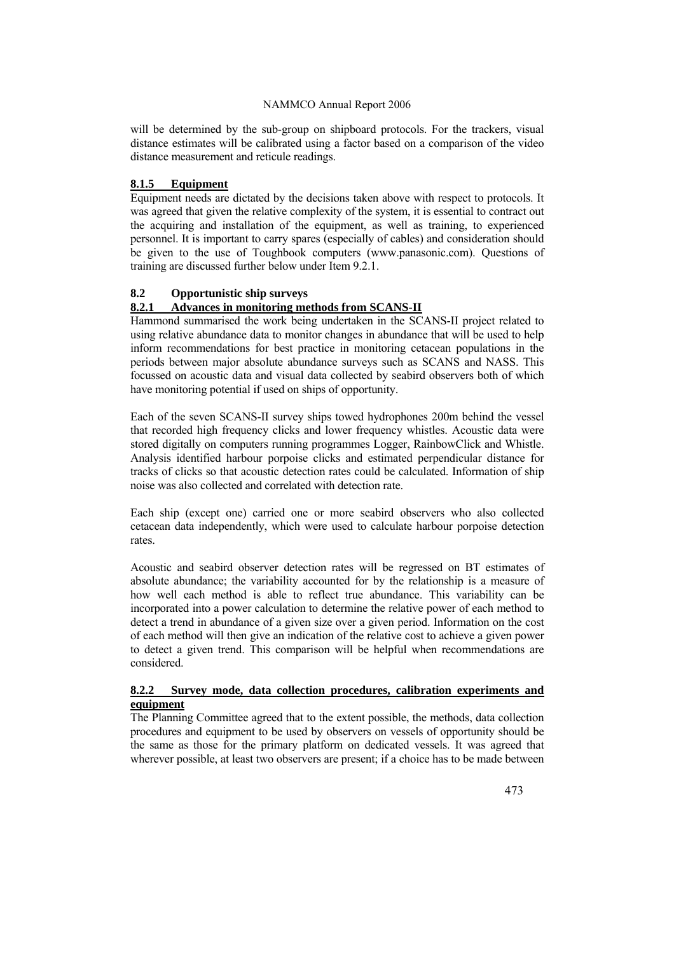will be determined by the sub-group on shipboard protocols. For the trackers, visual distance estimates will be calibrated using a factor based on a comparison of the video distance measurement and reticule readings.

# **8.1.5 Equipment**

Equipment needs are dictated by the decisions taken above with respect to protocols. It was agreed that given the relative complexity of the system, it is essential to contract out the acquiring and installation of the equipment, as well as training, to experienced personnel. It is important to carry spares (especially of cables) and consideration should be given to the use of Toughbook computers [\(www.panasonic.com\)](http://www.panasonic.com/). Questions of training are discussed further below under Item 9.2.1.

# **8.2 Opportunistic ship surveys**

# **8.2.1 Advances in monitoring methods from SCANS-II**

Hammond summarised the work being undertaken in the SCANS-II project related to using relative abundance data to monitor changes in abundance that will be used to help inform recommendations for best practice in monitoring cetacean populations in the periods between major absolute abundance surveys such as SCANS and NASS. This focussed on acoustic data and visual data collected by seabird observers both of which have monitoring potential if used on ships of opportunity.

Each of the seven SCANS-II survey ships towed hydrophones 200m behind the vessel that recorded high frequency clicks and lower frequency whistles. Acoustic data were stored digitally on computers running programmes Logger, RainbowClick and Whistle. Analysis identified harbour porpoise clicks and estimated perpendicular distance for tracks of clicks so that acoustic detection rates could be calculated. Information of ship noise was also collected and correlated with detection rate.

Each ship (except one) carried one or more seabird observers who also collected cetacean data independently, which were used to calculate harbour porpoise detection rates.

Acoustic and seabird observer detection rates will be regressed on BT estimates of absolute abundance; the variability accounted for by the relationship is a measure of how well each method is able to reflect true abundance. This variability can be incorporated into a power calculation to determine the relative power of each method to detect a trend in abundance of a given size over a given period. Information on the cost of each method will then give an indication of the relative cost to achieve a given power to detect a given trend. This comparison will be helpful when recommendations are considered.

# **8.2.2 Survey mode, data collection procedures, calibration experiments and equipment**

The Planning Committee agreed that to the extent possible, the methods, data collection procedures and equipment to be used by observers on vessels of opportunity should be the same as those for the primary platform on dedicated vessels. It was agreed that wherever possible, at least two observers are present; if a choice has to be made between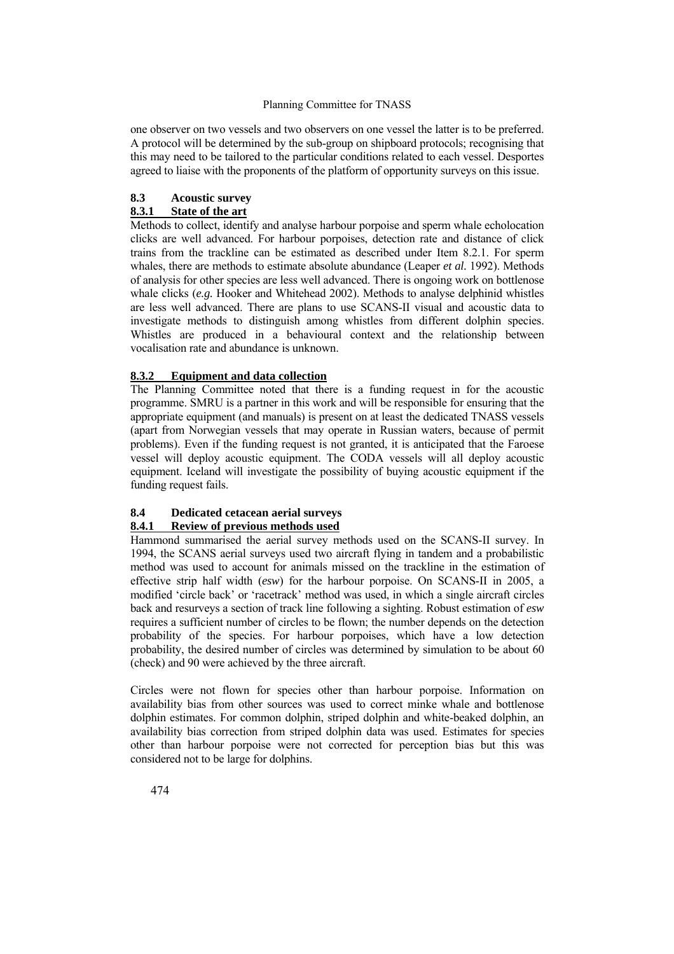one observer on two vessels and two observers on one vessel the latter is to be preferred. A protocol will be determined by the sub-group on shipboard protocols; recognising that this may need to be tailored to the particular conditions related to each vessel. Desportes agreed to liaise with the proponents of the platform of opportunity surveys on this issue.

#### **8.3 Acoustic survey 8.3.1 State of the art**

Methods to collect, identify and analyse harbour porpoise and sperm whale echolocation clicks are well advanced. For harbour porpoises, detection rate and distance of click trains from the trackline can be estimated as described under Item 8.2.1. For sperm whales, there are methods to estimate absolute abundance (Leaper *et al.* 1992). Methods of analysis for other species are less well advanced. There is ongoing work on bottlenose whale clicks (*e.g.* Hooker and Whitehead 2002). Methods to analyse delphinid whistles are less well advanced. There are plans to use SCANS-II visual and acoustic data to investigate methods to distinguish among whistles from different dolphin species. Whistles are produced in a behavioural context and the relationship between vocalisation rate and abundance is unknown.

# **8.3.2 Equipment and data collection**

The Planning Committee noted that there is a funding request in for the acoustic programme. SMRU is a partner in this work and will be responsible for ensuring that the appropriate equipment (and manuals) is present on at least the dedicated TNASS vessels (apart from Norwegian vessels that may operate in Russian waters, because of permit problems). Even if the funding request is not granted, it is anticipated that the Faroese vessel will deploy acoustic equipment. The CODA vessels will all deploy acoustic equipment. Iceland will investigate the possibility of buying acoustic equipment if the funding request fails.

# **8.4 Dedicated cetacean aerial surveys**

# **8.4.1 Review of previous methods used**

Hammond summarised the aerial survey methods used on the SCANS-II survey. In 1994, the SCANS aerial surveys used two aircraft flying in tandem and a probabilistic method was used to account for animals missed on the trackline in the estimation of effective strip half width (*esw*) for the harbour porpoise. On SCANS-II in 2005, a modified 'circle back' or 'racetrack' method was used, in which a single aircraft circles back and resurveys a section of track line following a sighting. Robust estimation of *esw* requires a sufficient number of circles to be flown; the number depends on the detection probability of the species. For harbour porpoises, which have a low detection probability, the desired number of circles was determined by simulation to be about 60 (check) and 90 were achieved by the three aircraft.

Circles were not flown for species other than harbour porpoise. Information on availability bias from other sources was used to correct minke whale and bottlenose dolphin estimates. For common dolphin, striped dolphin and white-beaked dolphin, an availability bias correction from striped dolphin data was used. Estimates for species other than harbour porpoise were not corrected for perception bias but this was considered not to be large for dolphins.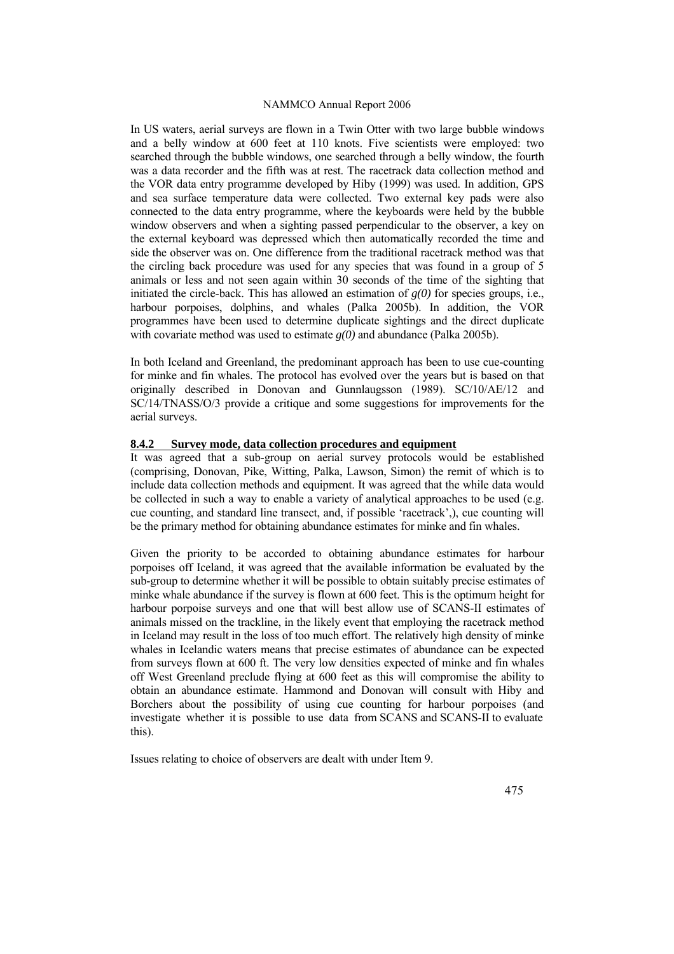In US waters, aerial surveys are flown in a Twin Otter with two large bubble windows and a belly window at 600 feet at 110 knots. Five scientists were employed: two searched through the bubble windows, one searched through a belly window, the fourth was a data recorder and the fifth was at rest. The racetrack data collection method and the VOR data entry programme developed by Hiby (1999) was used. In addition, GPS and sea surface temperature data were collected. Two external key pads were also connected to the data entry programme, where the keyboards were held by the bubble window observers and when a sighting passed perpendicular to the observer, a key on the external keyboard was depressed which then automatically recorded the time and side the observer was on. One difference from the traditional racetrack method was that the circling back procedure was used for any species that was found in a group of 5 animals or less and not seen again within 30 seconds of the time of the sighting that initiated the circle-back. This has allowed an estimation of  $g(0)$  for species groups, i.e., harbour porpoises, dolphins, and whales (Palka 2005b). In addition, the VOR programmes have been used to determine duplicate sightings and the direct duplicate with covariate method was used to estimate *g(0)* and abundance (Palka 2005b).

In both Iceland and Greenland, the predominant approach has been to use cue-counting for minke and fin whales. The protocol has evolved over the years but is based on that originally described in Donovan and Gunnlaugsson (1989). SC/10/AE/12 and SC/14/TNASS/O/3 provide a critique and some suggestions for improvements for the aerial surveys.

#### **8.4.2 Survey mode, data collection procedures and equipment**

It was agreed that a sub-group on aerial survey protocols would be established (comprising, Donovan, Pike, Witting, Palka, Lawson, Simon) the remit of which is to include data collection methods and equipment. It was agreed that the while data would be collected in such a way to enable a variety of analytical approaches to be used (e.g. cue counting, and standard line transect, and, if possible 'racetrack',), cue counting will be the primary method for obtaining abundance estimates for minke and fin whales.

Given the priority to be accorded to obtaining abundance estimates for harbour porpoises off Iceland, it was agreed that the available information be evaluated by the sub-group to determine whether it will be possible to obtain suitably precise estimates of minke whale abundance if the survey is flown at 600 feet. This is the optimum height for harbour porpoise surveys and one that will best allow use of SCANS-II estimates of animals missed on the trackline, in the likely event that employing the racetrack method in Iceland may result in the loss of too much effort. The relatively high density of minke whales in Icelandic waters means that precise estimates of abundance can be expected from surveys flown at 600 ft. The very low densities expected of minke and fin whales off West Greenland preclude flying at 600 feet as this will compromise the ability to obtain an abundance estimate. Hammond and Donovan will consult with Hiby and Borchers about the possibility of using cue counting for harbour porpoises (and investigate whether it is possible to use data from SCANS and SCANS-II to evaluate this).

Issues relating to choice of observers are dealt with under Item 9.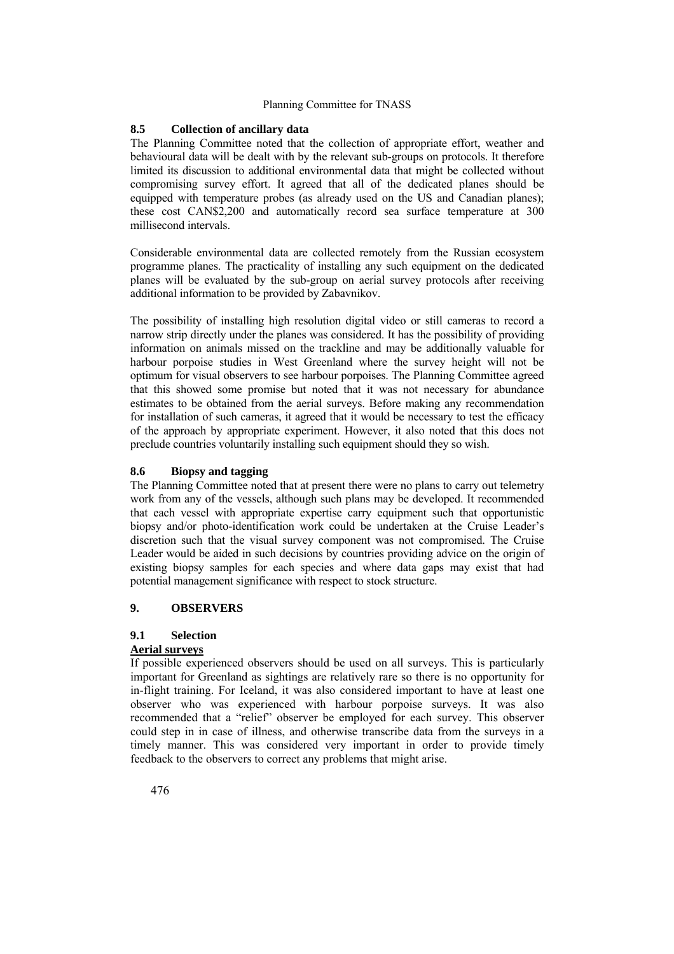## **8.5 Collection of ancillary data**

The Planning Committee noted that the collection of appropriate effort, weather and behavioural data will be dealt with by the relevant sub-groups on protocols. It therefore limited its discussion to additional environmental data that might be collected without compromising survey effort. It agreed that all of the dedicated planes should be equipped with temperature probes (as already used on the US and Canadian planes); these cost CAN\$2,200 and automatically record sea surface temperature at 300 millisecond intervals.

Considerable environmental data are collected remotely from the Russian ecosystem programme planes. The practicality of installing any such equipment on the dedicated planes will be evaluated by the sub-group on aerial survey protocols after receiving additional information to be provided by Zabavnikov.

The possibility of installing high resolution digital video or still cameras to record a narrow strip directly under the planes was considered. It has the possibility of providing information on animals missed on the trackline and may be additionally valuable for harbour porpoise studies in West Greenland where the survey height will not be optimum for visual observers to see harbour porpoises. The Planning Committee agreed that this showed some promise but noted that it was not necessary for abundance estimates to be obtained from the aerial surveys. Before making any recommendation for installation of such cameras, it agreed that it would be necessary to test the efficacy of the approach by appropriate experiment. However, it also noted that this does not preclude countries voluntarily installing such equipment should they so wish.

#### **8.6 Biopsy and tagging**

The Planning Committee noted that at present there were no plans to carry out telemetry work from any of the vessels, although such plans may be developed. It recommended that each vessel with appropriate expertise carry equipment such that opportunistic biopsy and/or photo-identification work could be undertaken at the Cruise Leader's discretion such that the visual survey component was not compromised. The Cruise Leader would be aided in such decisions by countries providing advice on the origin of existing biopsy samples for each species and where data gaps may exist that had potential management significance with respect to stock structure.

#### **9. OBSERVERS**

# **9.1 Selection**

# **Aerial surveys**

If possible experienced observers should be used on all surveys. This is particularly important for Greenland as sightings are relatively rare so there is no opportunity for in-flight training. For Iceland, it was also considered important to have at least one observer who was experienced with harbour porpoise surveys. It was also recommended that a "relief" observer be employed for each survey. This observer could step in in case of illness, and otherwise transcribe data from the surveys in a timely manner. This was considered very important in order to provide timely feedback to the observers to correct any problems that might arise.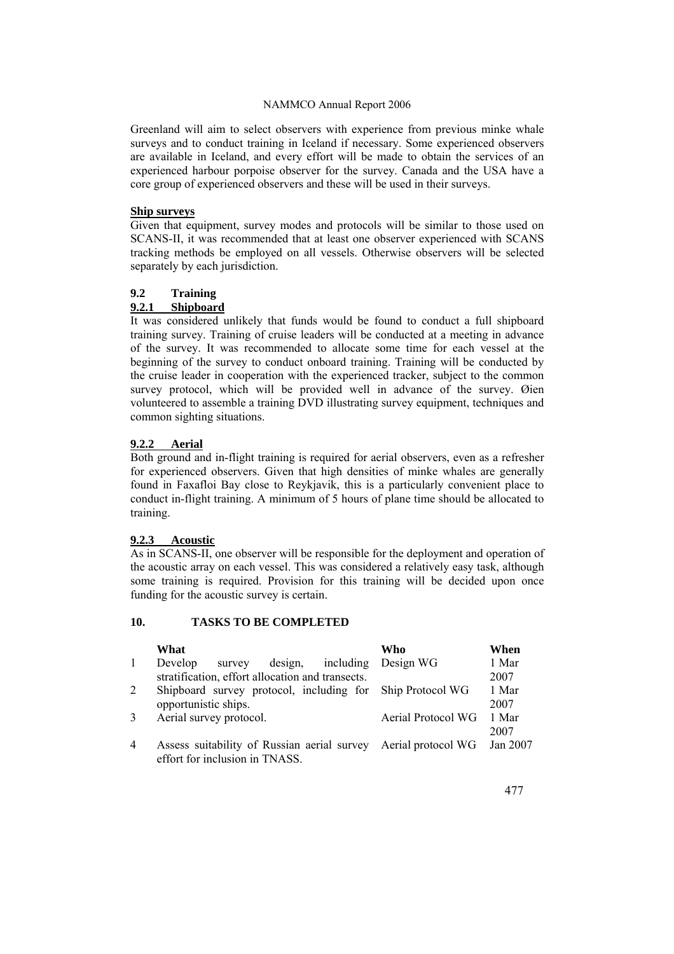Greenland will aim to select observers with experience from previous minke whale surveys and to conduct training in Iceland if necessary. Some experienced observers are available in Iceland, and every effort will be made to obtain the services of an experienced harbour porpoise observer for the survey. Canada and the USA have a core group of experienced observers and these will be used in their surveys.

#### **Ship surveys**

Given that equipment, survey modes and protocols will be similar to those used on SCANS-II, it was recommended that at least one observer experienced with SCANS tracking methods be employed on all vessels. Otherwise observers will be selected separately by each jurisdiction.

# **9.2 Training**

#### **9.2.1 Shipboard**

It was considered unlikely that funds would be found to conduct a full shipboard training survey. Training of cruise leaders will be conducted at a meeting in advance of the survey. It was recommended to allocate some time for each vessel at the beginning of the survey to conduct onboard training. Training will be conducted by the cruise leader in cooperation with the experienced tracker, subject to the common survey protocol, which will be provided well in advance of the survey. Øien volunteered to assemble a training DVD illustrating survey equipment, techniques and common sighting situations.

#### **9.2.2 Aerial**

Both ground and in-flight training is required for aerial observers, even as a refresher for experienced observers. Given that high densities of minke whales are generally found in Faxafloi Bay close to Reykjavik, this is a particularly convenient place to conduct in-flight training. A minimum of 5 hours of plane time should be allocated to training.

# **9.2.3 Acoustic**

As in SCANS-II, one observer will be responsible for the deployment and operation of the acoustic array on each vessel. This was considered a relatively easy task, although some training is required. Provision for this training will be decided upon once funding for the acoustic survey is certain.

## **10. TASKS TO BE COMPLETED**

|                | What                                                           | Who                | When     |
|----------------|----------------------------------------------------------------|--------------------|----------|
| $\mathbf{1}$   | survey design, including Design WG<br>Develop                  |                    | 1 Mar    |
|                | stratification, effort allocation and transects.               |                    | 2007     |
| 2              | Shipboard survey protocol, including for Ship Protocol WG      |                    | 1 Mar    |
|                | opportunistic ships.                                           |                    | 2007     |
| $\mathcal{E}$  | Aerial survey protocol.                                        | Aerial Protocol WG | 1 Mar    |
|                |                                                                |                    | 2007     |
| $\overline{4}$ | Assess suitability of Russian aerial survey Aerial protocol WG |                    | Jan 2007 |
|                | effort for inclusion in TNASS.                                 |                    |          |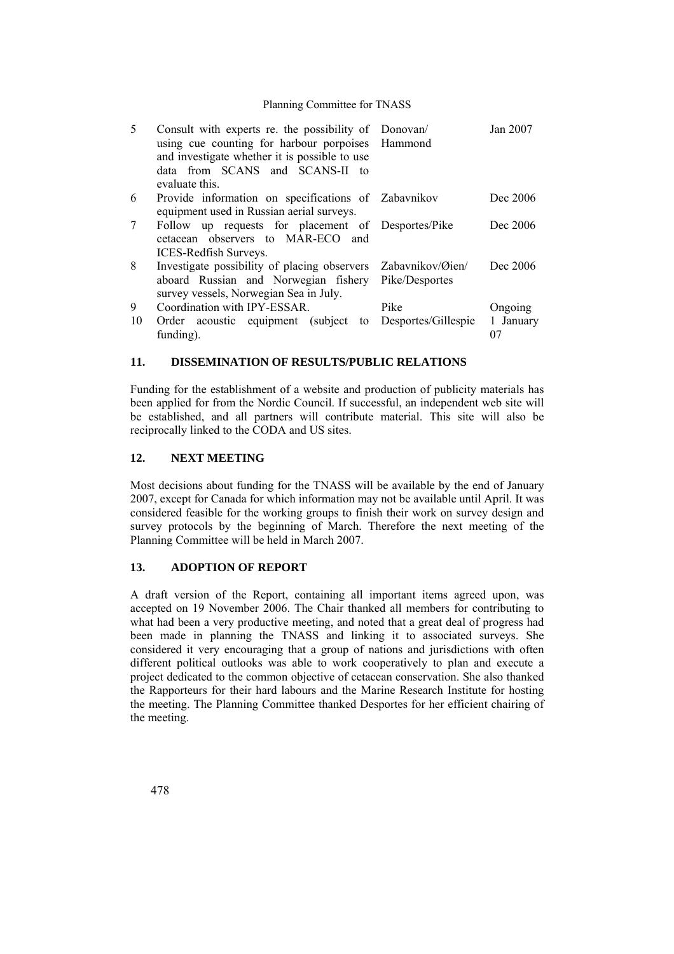| 5  | Consult with experts re. the possibility of Donovan/<br>using cue counting for harbour porpoises Hammond<br>and investigate whether it is possible to use<br>data from SCANS and SCANS-II to<br>evaluate this |                           | Jan 2007  |
|----|---------------------------------------------------------------------------------------------------------------------------------------------------------------------------------------------------------------|---------------------------|-----------|
| 6  | Provide information on specifications of Zabavnikov                                                                                                                                                           |                           | Dec 2006  |
|    | equipment used in Russian aerial surveys.                                                                                                                                                                     |                           |           |
| 7  | Follow up requests for placement of Desportes/Pike                                                                                                                                                            |                           | Dec 2006  |
|    | cetacean observers to MAR-ECO and                                                                                                                                                                             |                           |           |
|    | ICES-Redfish Surveys.                                                                                                                                                                                         |                           |           |
| 8  | Investigate possibility of placing observers                                                                                                                                                                  | Zabaynikov/ <i>Øien</i> / | Dec 2006  |
|    | aboard Russian and Norwegian fishery                                                                                                                                                                          | Pike/Desportes            |           |
|    | survey vessels, Norwegian Sea in July.                                                                                                                                                                        |                           |           |
| 9  | Coordination with IPY-ESSAR.                                                                                                                                                                                  | Pike                      | Ongoing   |
| 10 | Order acoustic equipment (subject)<br>to                                                                                                                                                                      | Desportes/Gillespie       | 1 January |
|    | funding).                                                                                                                                                                                                     |                           | 07        |

#### **11. DISSEMINATION OF RESULTS/PUBLIC RELATIONS**

Funding for the establishment of a website and production of publicity materials has been applied for from the Nordic Council. If successful, an independent web site will be established, and all partners will contribute material. This site will also be reciprocally linked to the CODA and US sites.

#### **12. NEXT MEETING**

Most decisions about funding for the TNASS will be available by the end of January 2007, except for Canada for which information may not be available until April. It was considered feasible for the working groups to finish their work on survey design and survey protocols by the beginning of March. Therefore the next meeting of the Planning Committee will be held in March 2007.

# **13. ADOPTION OF REPORT**

A draft version of the Report, containing all important items agreed upon, was accepted on 19 November 2006. The Chair thanked all members for contributing to what had been a very productive meeting, and noted that a great deal of progress had been made in planning the TNASS and linking it to associated surveys. She considered it very encouraging that a group of nations and jurisdictions with often different political outlooks was able to work cooperatively to plan and execute a project dedicated to the common objective of cetacean conservation. She also thanked the Rapporteurs for their hard labours and the Marine Research Institute for hosting the meeting. The Planning Committee thanked Desportes for her efficient chairing of the meeting.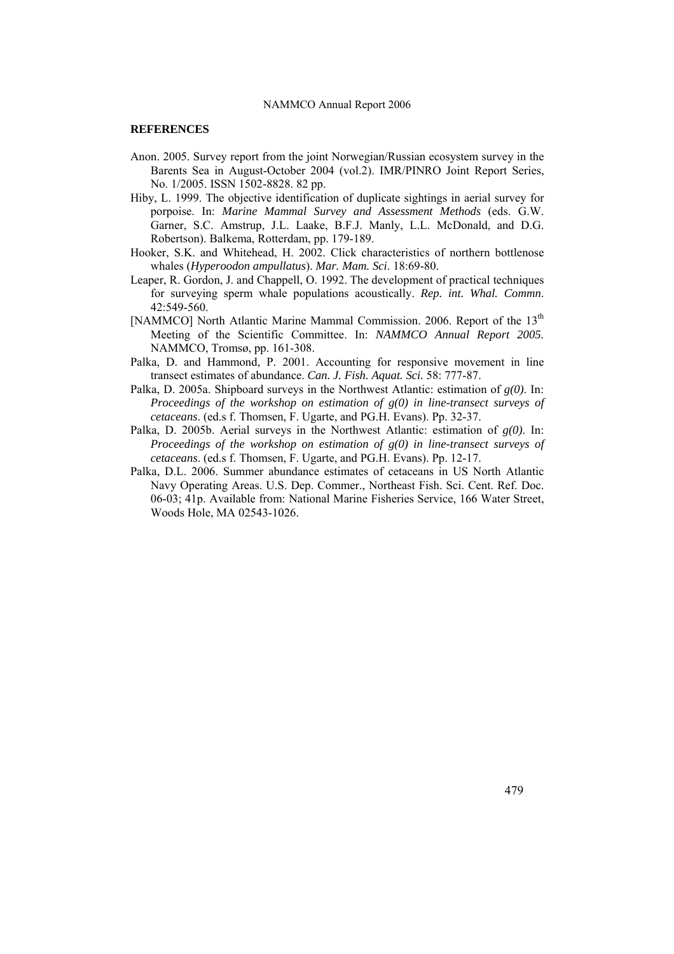#### **REFERENCES**

- Anon. 2005. Survey report from the joint Norwegian/Russian ecosystem survey in the Barents Sea in August-October 2004 (vol.2). IMR/PINRO Joint Report Series, No. 1/2005. ISSN 1502-8828. 82 pp.
- Hiby, L. 1999. The objective identification of duplicate sightings in aerial survey for porpoise. In: *Marine Mammal Survey and Assessment Methods* (eds. G.W. Garner, S.C. Amstrup, J.L. Laake, B.F.J. Manly, L.L. McDonald, and D.G. Robertson). Balkema, Rotterdam, pp. 179-189.
- Hooker, S.K. and Whitehead, H. 2002. Click characteristics of northern bottlenose whales (*Hyperoodon ampullatus*). *Mar. Mam. Sci*. 18:69-80.
- Leaper, R. Gordon, J. and Chappell, O. 1992. The development of practical techniques for surveying sperm whale populations acoustically. *Rep. int. Whal. Commn*. 42:549-560.
- [NAMMCO] North Atlantic Marine Mammal Commission. 2006. Report of the 13<sup>th</sup> Meeting of the Scientific Committee. In: *NAMMCO Annual Report 2005.* NAMMCO, Tromsø, pp. 161-308.
- Palka, D. and Hammond, P. 2001. Accounting for responsive movement in line transect estimates of abundance. *Can. J. Fish. Aquat. Sci.* 58: 777-87.
- Palka, D. 2005a. Shipboard surveys in the Northwest Atlantic: estimation of *g(0)*. In: *Proceedings of the workshop on estimation of g(0) in line-transect surveys of cetaceans*. (ed.s f. Thomsen, F. Ugarte, and PG.H. Evans). Pp. 32-37.
- Palka, D. 2005b. Aerial surveys in the Northwest Atlantic: estimation of *g(0)*. In: *Proceedings of the workshop on estimation of g(0) in line-transect surveys of cetaceans*. (ed.s f. Thomsen, F. Ugarte, and PG.H. Evans). Pp. 12-17.
- Palka, D.L. 2006. Summer abundance estimates of cetaceans in US North Atlantic Navy Operating Areas. U.S. Dep. Commer., Northeast Fish. Sci. Cent. Ref. Doc. 06-03; 41p. Available from: National Marine Fisheries Service, 166 Water Street, Woods Hole, MA 02543-1026.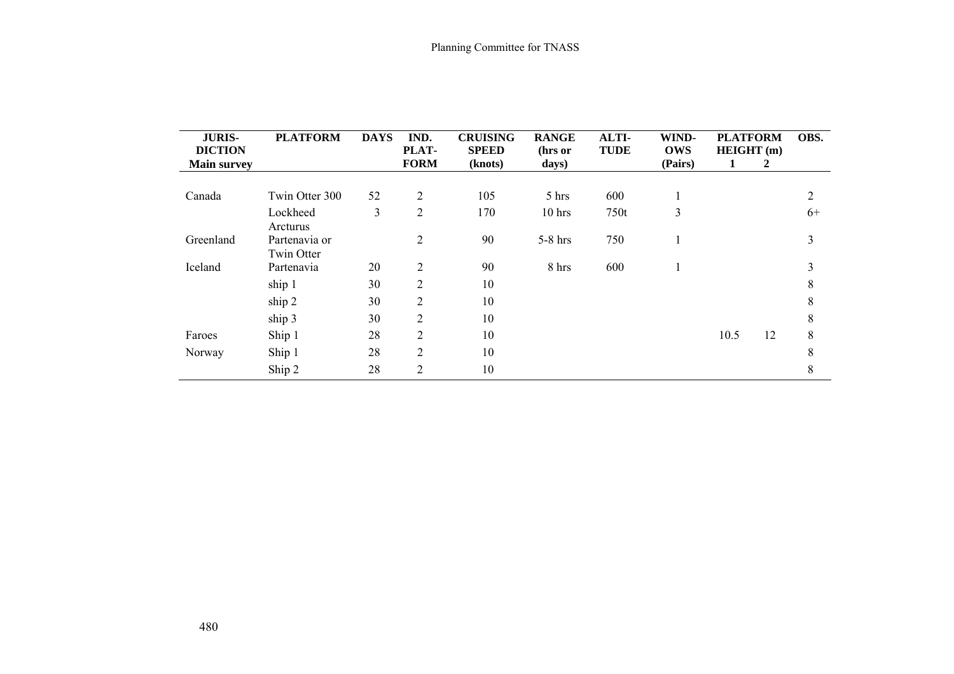| <b>JURIS-</b><br><b>DICTION</b> | <b>PLATFORM</b> | <b>DAYS</b> | IND.<br>PLAT-  | <b>CRUISING</b><br><b>SPEED</b> | <b>RANGE</b><br>(hrs or | ALTI-<br><b>TUDE</b> | WIND-<br><b>OWS</b> | <b>PLATFORM</b><br>HEIGHT (m) | OBS. |
|---------------------------------|-----------------|-------------|----------------|---------------------------------|-------------------------|----------------------|---------------------|-------------------------------|------|
| <b>Main survey</b>              |                 |             | <b>FORM</b>    | (knots)                         | days)                   |                      | (Pairs)             | 2                             |      |
|                                 |                 |             |                |                                 |                         |                      |                     |                               |      |
| Canada                          | Twin Otter 300  | 52          | $\overline{c}$ | 105                             | 5 hrs                   | 600                  | 1                   |                               | 2    |
|                                 | Lockheed        | 3           | $\overline{2}$ | 170                             | $10$ hrs                | 750t                 | 3                   |                               | $6+$ |
|                                 | Arcturus        |             |                |                                 |                         |                      |                     |                               |      |
| Greenland                       | Partenavia or   |             | $\overline{2}$ | 90                              | $5-8$ hrs               | 750                  | 1                   |                               | 3    |
|                                 | Twin Otter      |             |                |                                 |                         |                      |                     |                               |      |
| Iceland                         | Partenavia      | 20          | 2              | 90                              | 8 hrs                   | 600                  | 1                   |                               | 3    |
|                                 | ship 1          | 30          | 2              | 10                              |                         |                      |                     |                               | 8    |
|                                 | ship 2          | 30          | 2              | 10                              |                         |                      |                     |                               | 8    |
|                                 | ship 3          | 30          | 2              | 10                              |                         |                      |                     |                               | 8    |
| Faroes                          | Ship 1          | 28          | $\overline{2}$ | 10                              |                         |                      |                     | 12<br>10.5                    | 8    |
| Norway                          | Ship 1          | 28          | 2              | 10                              |                         |                      |                     |                               | 8    |
|                                 | Ship 2          | 28          | 2              | 10                              |                         |                      |                     |                               | 8    |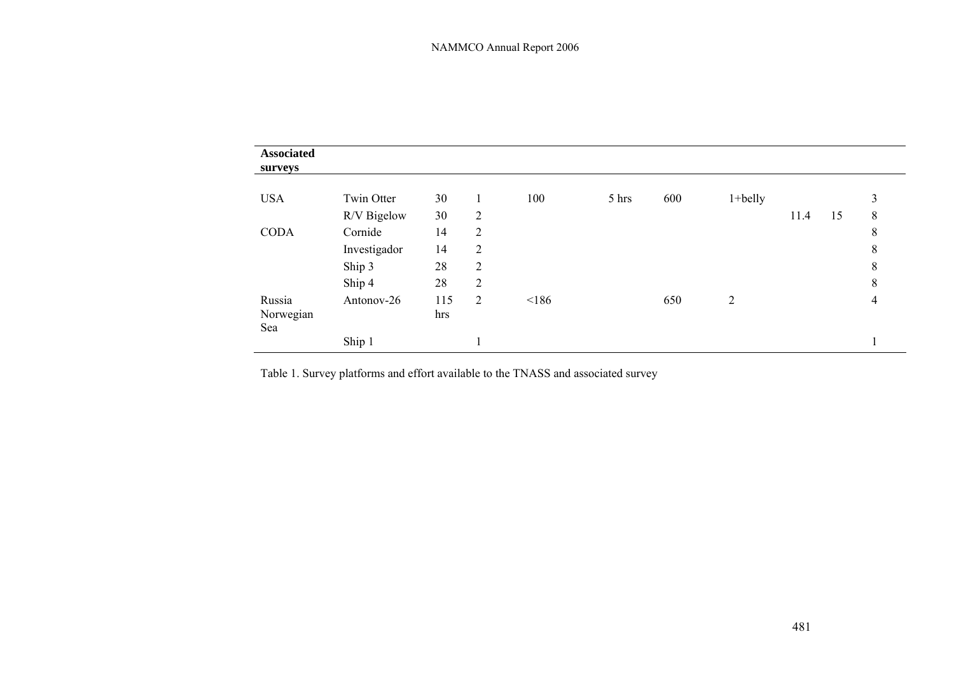| <b>Associated</b><br>surveys |              |            |                |       |       |     |                |      |    |   |
|------------------------------|--------------|------------|----------------|-------|-------|-----|----------------|------|----|---|
| <b>USA</b>                   | Twin Otter   | 30         |                | 100   | 5 hrs | 600 | $1+$ belly     |      |    | 3 |
|                              | R/V Bigelow  | 30         | $\overline{2}$ |       |       |     |                | 11.4 | 15 | 8 |
| <b>CODA</b>                  | Cornide      | 14         | $\overline{2}$ |       |       |     |                |      |    | 8 |
|                              | Investigador | 14         | $\overline{2}$ |       |       |     |                |      |    | 8 |
|                              | Ship 3       | 28         | $\overline{2}$ |       |       |     |                |      |    | 8 |
|                              | Ship 4       | 28         | $\overline{2}$ |       |       |     |                |      |    | 8 |
| Russia<br>Norwegian<br>Sea   | Antonov-26   | 115<br>hrs | 2              | < 186 |       | 650 | $\overline{2}$ |      |    | 4 |
|                              | Ship 1       |            |                |       |       |     |                |      |    |   |

Table 1. Survey platforms and effort available to the TNASS and associated survey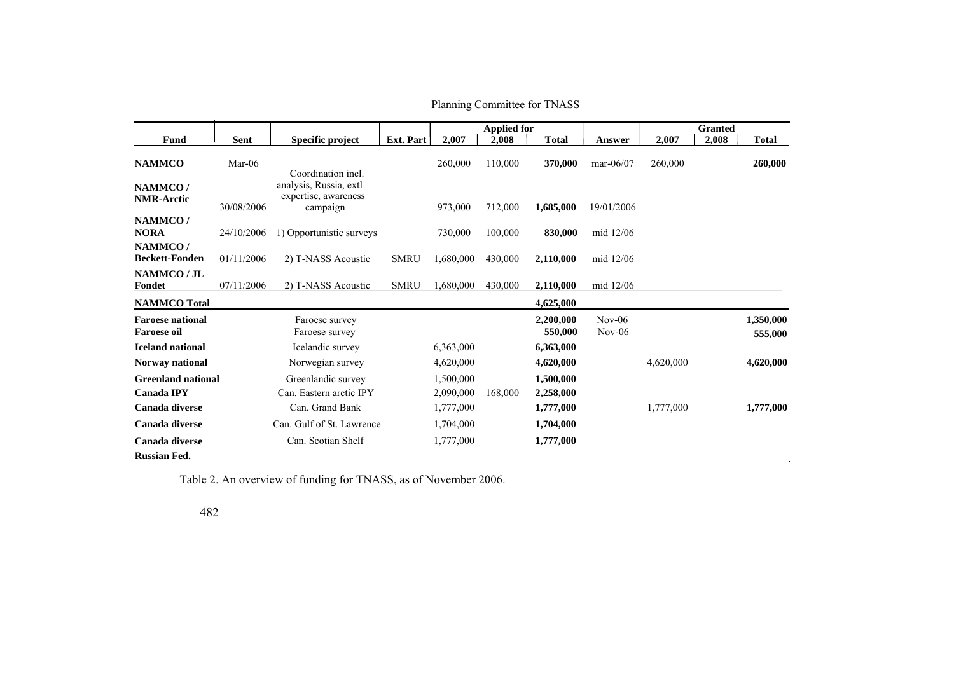|                                               |            |                                                            |                  |           | <b>Applied for</b> |                      |                      |           | <b>Granted</b> |                      |
|-----------------------------------------------|------------|------------------------------------------------------------|------------------|-----------|--------------------|----------------------|----------------------|-----------|----------------|----------------------|
| <b>Fund</b>                                   | Sent       | Specific project                                           | <b>Ext. Part</b> | 2,007     | 2,008              | <b>Total</b>         | Answer               | 2,007     | 2,008          | <b>Total</b>         |
| <b>NAMMCO</b>                                 | $Mar-06$   | Coordination incl.                                         |                  | 260,000   | 110,000            | 370,000              | mar- $06/07$         | 260,000   |                | 260,000              |
| NAMMCO/<br><b>NMR-Arctic</b>                  | 30/08/2006 | analysis, Russia, extl<br>expertise, awareness<br>campaign |                  | 973,000   | 712,000            | 1,685,000            | 19/01/2006           |           |                |                      |
| NAMMCO/<br><b>NORA</b>                        | 24/10/2006 | 1) Opportunistic surveys                                   |                  | 730,000   | 100,000            | 830,000              | mid 12/06            |           |                |                      |
| NAMMCO/<br><b>Beckett-Fonden</b>              | 01/11/2006 | 2) T-NASS Acoustic                                         | <b>SMRU</b>      | 1,680,000 | 430,000            | 2,110,000            | mid 12/06            |           |                |                      |
| NAMMCO / JL<br>Fondet                         | 07/11/2006 | 2) T-NASS Acoustic                                         | <b>SMRU</b>      | ,680,000  | 430,000            | <u>2,110,000</u>     | mid 12/06            |           |                |                      |
| <b>NAMMCO</b> Total                           |            |                                                            |                  |           |                    | 4,625,000            |                      |           |                |                      |
| <b>Faroese national</b><br><b>Faroese oil</b> |            | Faroese survey<br>Faroese survey                           |                  |           |                    | 2,200,000<br>550,000 | $Nov-06$<br>$Nov-06$ |           |                | 1,350,000<br>555,000 |
| <b>Iceland national</b>                       |            | Icelandic survey                                           |                  | 6,363,000 |                    | 6,363,000            |                      |           |                |                      |
| Norway national                               |            | Norwegian survey                                           |                  | 4,620,000 |                    | 4,620,000            |                      | 4,620,000 |                | 4,620,000            |
| <b>Greenland national</b>                     |            | Greenlandic survey                                         |                  | 1,500,000 |                    | 1,500,000            |                      |           |                |                      |
| <b>Canada IPY</b>                             |            | Can. Eastern arctic IPY                                    |                  | 2,090,000 | 168,000            | 2,258,000            |                      |           |                |                      |
| Canada diverse                                |            | Can. Grand Bank                                            |                  | 1,777,000 |                    | 1,777,000            |                      | 1,777,000 |                | 1,777,000            |
| Canada diverse                                |            | Can. Gulf of St. Lawrence                                  |                  | 1,704,000 |                    | 1,704,000            |                      |           |                |                      |
| Canada diverse                                |            | Can. Scotian Shelf                                         |                  | 1,777,000 |                    | 1,777,000            |                      |           |                |                      |
| <b>Russian Fed.</b>                           |            |                                                            |                  |           |                    |                      |                      |           |                |                      |

Table 2. An overview of funding for TNASS, as of November 2006.

482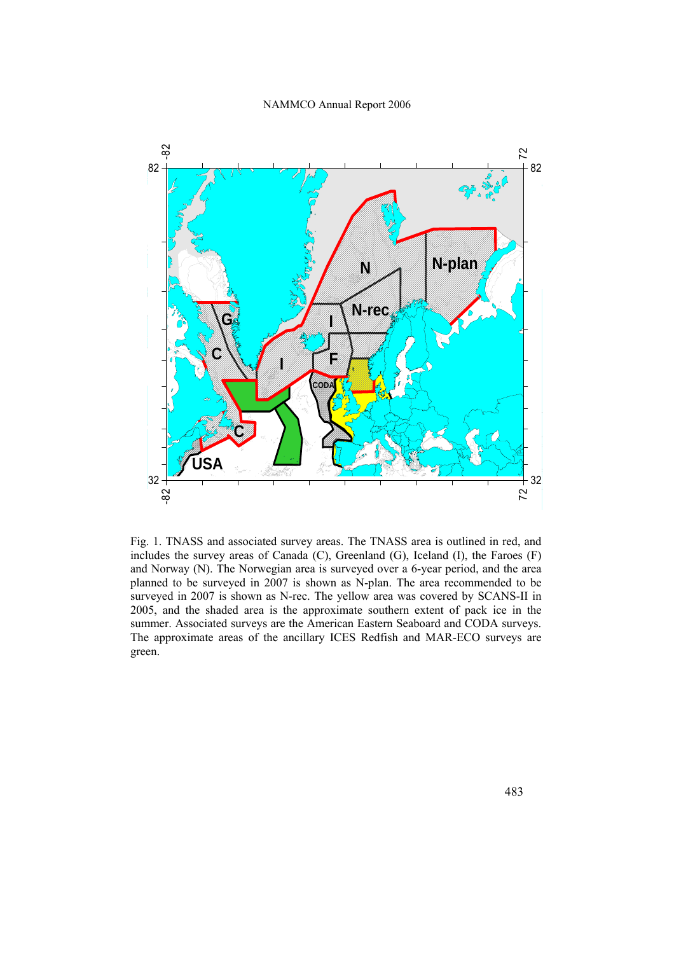

Fig. 1. TNASS and associated survey areas. The TNASS area is outlined in red, and includes the survey areas of Canada (C), Greenland (G), Iceland (I), the Faroes (F) and Norway (N). The Norwegian area is surveyed over a 6-year period, and the area planned to be surveyed in 2007 is shown as N-plan. The area recommended to be surveyed in 2007 is shown as N-rec. The yellow area was covered by SCANS-II in 2005, and the shaded area is the approximate southern extent of pack ice in the summer. Associated surveys are the American Eastern Seaboard and CODA surveys. The approximate areas of the ancillary ICES Redfish and MAR-ECO surveys are green.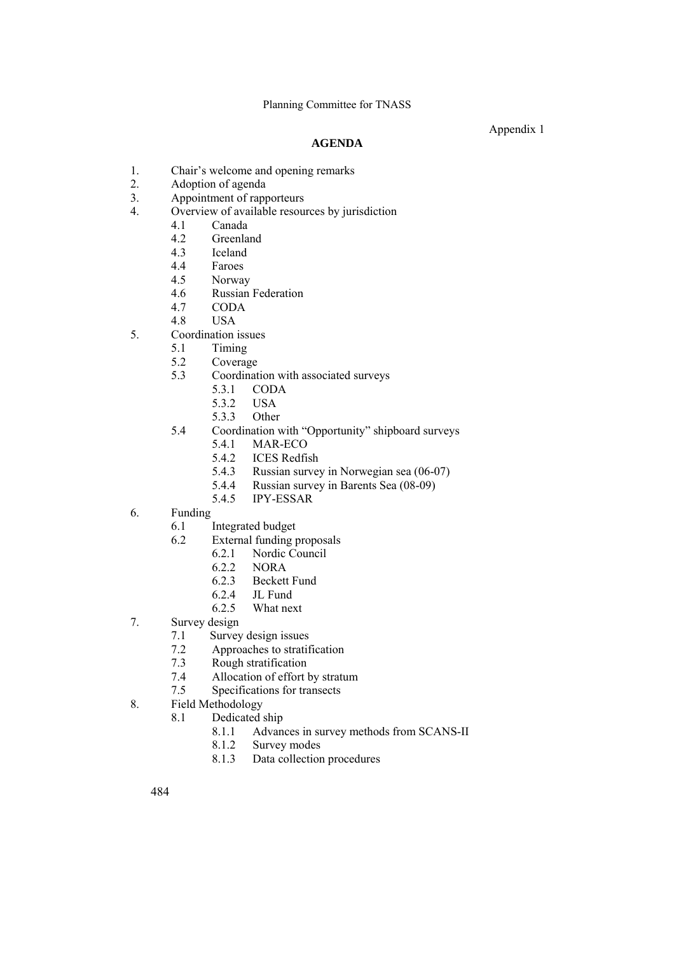Appendix 1

# **AGENDA**

- 1. Chair's welcome and opening remarks<br>2. Adoption of agenda
- Adoption of agenda
- 3. Appointment of rapporteurs
- 4. Overview of available resources by jurisdiction
	- 4.1 Canada
	- 4.2 Greenland
	- 4.3 Iceland
	- 4.4 Faroes
	- 4.5 Norway
	- 4.6 Russian Federation<br>4.7 CODA
	- 4.7 CODA
	- 4.8 USA
- 5. Coordination issues
	- 5.1 Timing
	- 5.2 Coverage
	- 5.3 Coordination with associated surveys
		- 5.3.1 CODA
			- 5.3.2 USA
			- 5.3.3 Other
	- 5.4 Coordination with "Opportunity" shipboard surveys
		- 5.4.1 MAR-ECO
		- 5.4.2 ICES Redfish
		- 5.4.3 Russian survey in Norwegian sea (06-07)
		- 5.4.4 Russian survey in Barents Sea (08-09)
		- 5.4.5 IPY-ESSAR
- 6. Funding
	- 6.1 Integrated budget
	- 6.2 External funding proposals
		- 6.2.1 Nordic Council<br>6.2.2 NORA
		- NOR A
		- 6.2.3 Beckett Fund
		- 6.2.4 JL Fund
		- 6.2.5 What next
- 7. Survey design
	- 7.1 Survey design issues
	- 7.2 Approaches to stratification
	- 7.3 Rough stratification
	- 7.4 Allocation of effort by stratum
	- 7.5 Specifications for transects
- 8. Field Methodology
	- 8.1 Dedicated ship
		- 8.1.1 Advances in survey methods from SCANS-II
		- 8.1.2 Survey modes
		- 8.1.3 Data collection procedures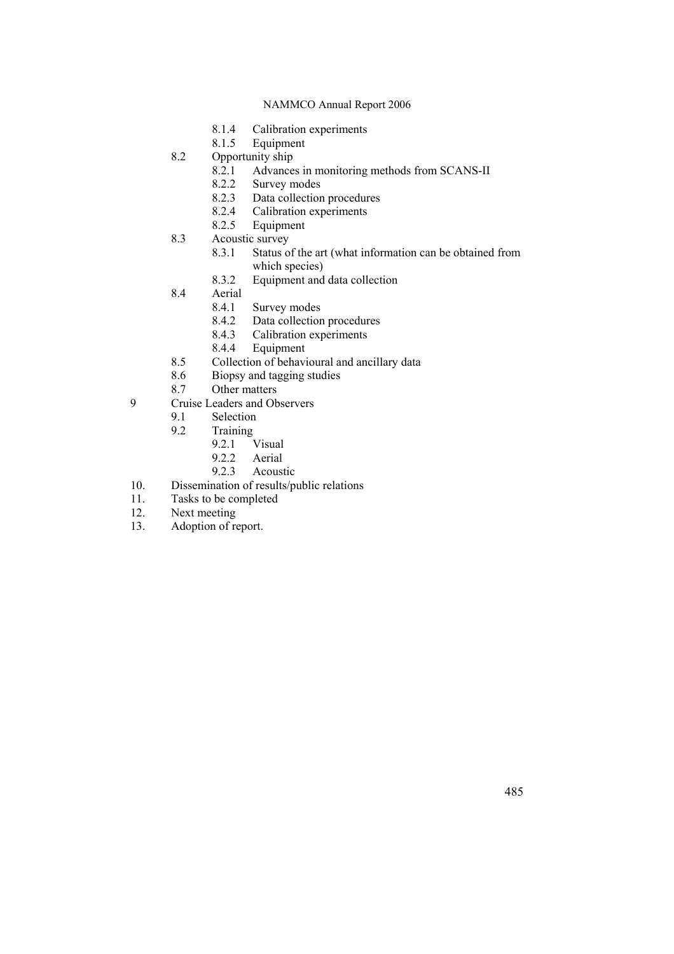- 8.1.4 Calibration experiments
- 8.1.5 Equipment
- 8.2 Opportunity ship<br>8.2.1 Advance
	- 8.2.1 Advances in monitoring methods from SCANS-II<br>8.2.2 Survey modes
	- Survey modes
	- 8.2.3 Data collection procedures
	- 8.2.4 Calibration experiments
	- 8.2.5 Equipment
- 8.3 Acoustic survey
	- 8.3.1 Status of the art (what information can be obtained from which species)
	- 8.3.2 Equipment and data collection
- 8.4 Aerial<br>8.4.1
	- 8.4.1 Survey modes<br>8.4.2 Data collection
	- Data collection procedures
	- 8.4.3 Calibration experiments
	- 8.4.4 Equipment
- 8.5 Collection of behavioural and ancillary data
- 8.6 Biopsy and tagging studies
- 8.7 Other matters
- 9 Cruise Leaders and Observers
	- 9.1 Selection
	- 9.2 Training  $9.2.1$ 
		- Visual
		- 9.2.2 Aerial
		- 9.2.3 Acoustic
- 10. Dissemination of results/public relations
- 11. Tasks to be completed
- 12. Next meeting
- 13. Adoption of report.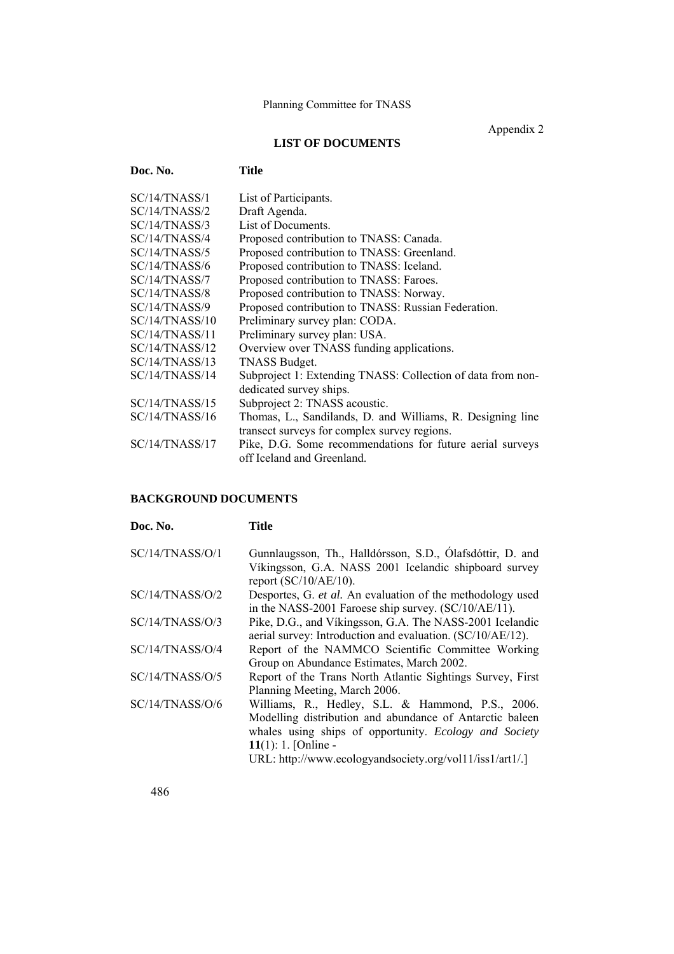Appendix 2

# **LIST OF DOCUMENTS**

| Doc. No.       | Title                                                                                   |
|----------------|-----------------------------------------------------------------------------------------|
| SC/14/TNASS/1  | List of Participants.                                                                   |
| SC/14/TNASS/2  | Draft Agenda.                                                                           |
| SC/14/TNASS/3  | List of Documents.                                                                      |
| SC/14/TNASS/4  | Proposed contribution to TNASS: Canada.                                                 |
| SC/14/TNASS/5  | Proposed contribution to TNASS: Greenland.                                              |
| SC/14/TNASS/6  | Proposed contribution to TNASS: Iceland.                                                |
| SC/14/TNASS/7  | Proposed contribution to TNASS: Faroes.                                                 |
| SC/14/TNASS/8  | Proposed contribution to TNASS: Norway.                                                 |
| SC/14/TNASS/9  | Proposed contribution to TNASS: Russian Federation.                                     |
| SC/14/TNASS/10 | Preliminary survey plan: CODA.                                                          |
| SC/14/TNASS/11 | Preliminary survey plan: USA.                                                           |
| SC/14/TNASS/12 | Overview over TNASS funding applications.                                               |
| SC/14/TNASS/13 | TNASS Budget.                                                                           |
| SC/14/TNASS/14 | Subproject 1: Extending TNASS: Collection of data from non-                             |
|                | dedicated survey ships.                                                                 |
| SC/14/TNASS/15 | Subproject 2: TNASS acoustic.                                                           |
| SC/14/TNASS/16 | Thomas, L., Sandilands, D. and Williams, R. Designing line                              |
|                | transect surveys for complex survey regions.                                            |
| SC/14/TNASS/17 | Pike, D.G. Some recommendations for future aerial surveys<br>off Iceland and Greenland. |

# **BACKGROUND DOCUMENTS**

| Doc. No.        | Title                                                                                                                                                                                                                                                      |
|-----------------|------------------------------------------------------------------------------------------------------------------------------------------------------------------------------------------------------------------------------------------------------------|
| SC/14/TNASS/O/1 | Gunnlaugsson, Th., Halldórsson, S.D., Ólafsdóttir, D. and<br>Víkingsson, G.A. NASS 2001 Icelandic shipboard survey<br>report $(SC/10/AE/10)$ .                                                                                                             |
| SC/14/TNASS/O/2 | Desportes, G. et al. An evaluation of the methodology used<br>in the NASS-2001 Faroese ship survey. (SC/10/AE/11).                                                                                                                                         |
| SC/14/TNASS/O/3 | Pike, D.G., and Vikingsson, G.A. The NASS-2001 Icelandic<br>aerial survey: Introduction and evaluation. (SC/10/AE/12).                                                                                                                                     |
| SC/14/TNASS/O/4 | Report of the NAMMCO Scientific Committee Working<br>Group on Abundance Estimates, March 2002.                                                                                                                                                             |
| SC/14/TNASS/O/5 | Report of the Trans North Atlantic Sightings Survey, First<br>Planning Meeting, March 2006.                                                                                                                                                                |
| SC/14/TNASS/O/6 | Williams, R., Hedley, S.L. & Hammond, P.S., 2006.<br>Modelling distribution and abundance of Antarctic baleen<br>whales using ships of opportunity. Ecology and Society<br>11(1): 1. [Online -<br>URL: http://www.ecologyandsociety.org/vol11/iss1/art1/.] |

486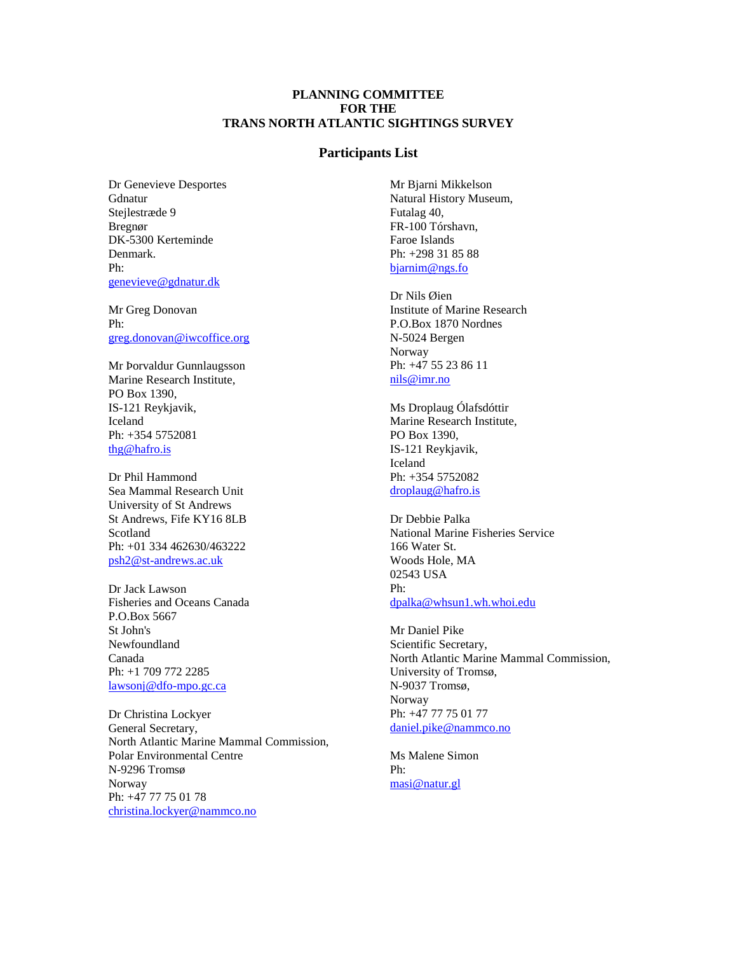## **PLANNING COMMITTEE FOR THE TRANS NORTH ATLANTIC SIGHTINGS SURVEY**

#### **Participants List**

Dr Genevieve Desportes **Gdnatur** Stejlestræde 9 Bregnør DK-5300 Kerteminde Denmark. Ph: [genevieve@gdnatur.dk](mailto:genevieve@gdnatur.dk)

Mr Greg Donovan Ph: [greg.donovan@iwcoffice.org](mailto:greg.donovan@iwcoffice.org)

Mr Þorvaldur Gunnlaugsson Marine Research Institute, PO Box 1390, IS-121 Reykjavik, Iceland Ph: +354 5752081 [thg@hafro.is](mailto:thg@hafro.is)

Dr Phil Hammond Sea Mammal Research Unit University of St Andrews St Andrews, Fife KY16 8LB Scotland Ph: +01 334 462630/463222 [psh2@st-andrews.ac.uk](mailto:psh2@st-andrews.ac.uk)

Dr Jack Lawson Fisheries and Oceans Canada P.O.Box 5667 St John's Newfoundland Canada Ph: +1 709 772 2285 [lawsonj@dfo-mpo.gc.ca](mailto:lawsonj@dfo-mpo.gc.ca)

Dr Christina Lockyer General Secretary, North Atlantic Marine Mammal Commission, Polar Environmental Centre N-9296 Tromsø Norway Ph: +47 77 75 01 78 [christina.lockyer@nammco.no](mailto:christina.lockyer@nammco.no)

Mr Bjarni Mikkelson Natural History Museum, Futalag 40, FR-100 Tórshavn, Faroe Islands Ph: +298 31 85 88 [bjarnim@ngs.fo](mailto:bjarnim@ngs.fo)

Dr Nils Øien Institute of Marine Research P.O.Box 1870 Nordnes N-5024 Bergen Norway Ph: +47 55 23 86 11 [nils@imr.no](mailto:nils@imr.no)

Ms Droplaug Ólafsdóttir Marine Research Institute, PO Box 1390, IS-121 Reykjavik, Iceland Ph: +354 5752082 [droplaug@hafro.is](mailto:droplaug@hafro.is)

Dr Debbie Palka National Marine Fisheries Service 166 Water St. Woods Hole, MA 02543 USA Ph: [dpalka@whsun1.wh.whoi.edu](mailto:dpalka@whsun1.wh.whoi.edu)

Mr Daniel Pike Scientific Secretary, North Atlantic Marine Mammal Commission, University of Tromsø, N-9037 Tromsø, Norway Ph: +47 77 75 01 77 [daniel.pike@nammco.no](mailto:daniel.pike@nammco.no)

Ms Malene Simon Ph: [masi@natur.gl](mailto:masi@natur.gl)